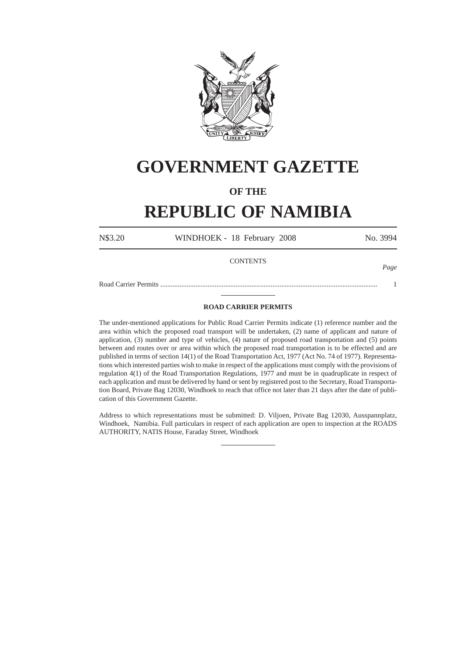

# **GOVERNMENT GAZETTE**

### **OF THE**

## **REPUBLIC OF NAMIBIA**

N\$3.20 WINDHOEK - 18 February 2008 No. 3994

#### **CONTENTS**

*Page*

Road Carrier Permits ............................................................................................................................ 1

#### **ROAD CARRIER PERMITS**

The under-mentioned applications for Public Road Carrier Permits indicate (1) reference number and the area within which the proposed road transport will be undertaken, (2) name of applicant and nature of application, (3) number and type of vehicles, (4) nature of proposed road transportation and (5) points between and routes over or area within which the proposed road transportation is to be effected and are published in terms of section 14(1) of the Road Transportation Act, 1977 (Act No. 74 of 1977). Representations which interested parties wish to make in respect of the applications must comply with the provisions of regulation 4(1) of the Road Transportation Regulations, 1977 and must be in quadruplicate in respect of each application and must be delivered by hand or sent by registered post to the Secretary, Road Transportation Board, Private Bag 12030, Windhoek to reach that office not later than 21 days after the date of publication of this Government Gazette.

Address to which representations must be submitted: D. Viljoen, Private Bag 12030, Ausspannplatz, Windhoek, Namibia. Full particulars in respect of each application are open to inspection at the ROADS AUTHORITY, NATIS House, Faraday Street, Windhoek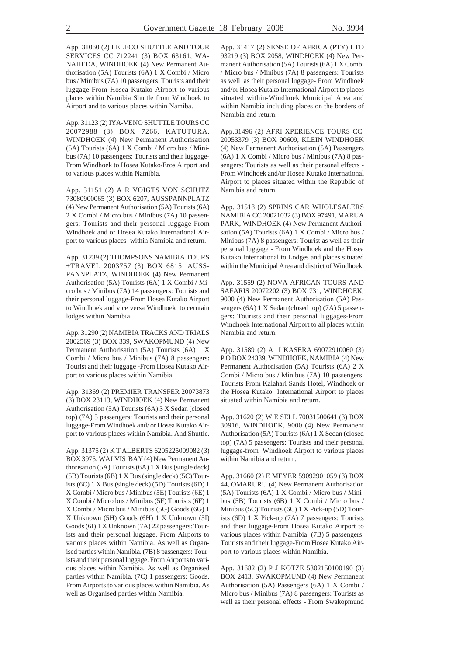App. 31060 (2) LELECO SHUTTLE AND TOUR SERVICES CC 712241 (3) BOX 63161, WA-NAHEDA, WINDHOEK (4) New Permanent Authorisation (5A) Tourists (6A) 1 X Combi / Micro bus / Minibus (7A) 10 passengers: Tourists and their luggage-From Hosea Kutako Airport to various places within Namibia Shuttle from Windhoek to Airport and to various places within Namiba.

App. 31123 (2) IYA-VENO SHUTTLE TOURS CC 20072988 (3) BOX 7266, KATUTURA, WINDHOEK (4) New Permanent Authorisation (5A) Tourists (6A) 1 X Combi / Micro bus / Minibus (7A) 10 passengers: Tourists and their luggage-From Windhoek to Hosea Kutako/Eros Airport and to various places within Namibia.

App. 31151 (2) A R VOIGTS VON SCHUTZ 73080900065 (3) BOX 6207, AUSSPANNPLATZ (4) New Permanent Authorisation (5A) Tourists (6A) 2 X Combi / Micro bus / Minibus (7A) 10 passengers: Tourists and their personal luggage-From Windhoek and or Hosea Kutako International Airport to various places within Namibia and return.

App. 31239 (2) THOMPSONS NAMIBIA TOURS +TRAVEL 2003757 (3) BOX 6815, AUSS-PANNPLATZ, WINDHOEK (4) New Permanent Authorisation (5A) Tourists (6A) 1 X Combi / Micro bus / Minibus (7A) 14 passengers: Tourists and their personal luggage-From Hosea Kutako Airport to Windhoek and vice versa Windhoek to cerntain lodges within Namibia.

App. 31290 (2) NAMIBIA TRACKS AND TRIALS 2002569 (3) BOX 339, SWAKOPMUND (4) New Permanent Authorisation (5A) Tourists (6A) 1 X Combi / Micro bus / Minibus (7A) 8 passengers: Tourist and their luggage -From Hosea Kutako Airport to various places within Namibia.

App. 31369 (2) PREMIER TRANSFER 20073873 (3) BOX 23113, WINDHOEK (4) New Permanent Authorisation (5A) Tourists (6A) 3 X Sedan (closed top) (7A) 5 passengers: Tourists and their personal luggage-From Windhoek and/ or Hosea Kutako Airport to various places within Namibia. And Shuttle.

App. 31375 (2) K T ALBERTS 6205225009082 (3) BOX 3975, WALVIS BAY (4) New Permanent Authorisation (5A) Tourists (6A) 1 X Bus (single deck) (5B) Tourists (6B) 1 X Bus (single deck) (5C) Tourists (6C) 1 X Bus (single deck) (5D) Tourists (6D) 1 X Combi / Micro bus / Minibus (5E) Tourists (6E) 1 X Combi / Micro bus / Minibus (5F) Tourists (6F) 1 X Combi / Micro bus / Minibus (5G) Goods (6G) 1 X Unknown (5H) Goods (6H) 1 X Unknown (5I) Goods (6I) 1 X Unknown (7A) 22 passengers: Tourists and their personal luggage. From Airports to various places within Namibia. As well as Organised parties within Namibia. (7B) 8 passengers: Tourists and their personal luggage. From Airports to various places within Namibia. As well as Organised parties within Namibia. (7C) 1 passengers: Goods. From Airports to various places within Namibia. As well as Organised parties within Namibia.

App. 31417 (2) SENSE OF AFRICA (PTY) LTD 93219 (3) BOX 2058, WINDHOEK (4) New Permanent Authorisation (5A) Tourists (6A) 1 X Combi / Micro bus / Minibus (7A) 8 passengers: Tourists as well as their personal luggage- From Windhoek and/or Hosea Kutako International Airport to places situated within-Windhoek Municipal Area and within Namibia including places on the borders of Namibia and return.

App.31496 (2) AFRI XPERIENCE TOURS CC. 20053379 (3) BOX 90609, KLEIN WINDHOEK (4) New Permanent Authorisation (5A) Passengers (6A) 1 X Combi / Micro bus / Minibus (7A) 8 passengers: Tourists as well as their personal effects - From Windhoek and/or Hosea Kutako International Airport to places situated within the Republic of Namibia and return.

App. 31518 (2) SPRINS CAR WHOLESALERS NAMIBIA CC 20021032 (3) BOX 97491, MARUA PARK, WINDHOEK (4) New Permanent Authorisation (5A) Tourists (6A) 1 X Combi / Micro bus / Minibus (7A) 8 passengers: Tourist as well as their personal luggage - From Windhoek and the Hosea Kutako International to Lodges and places situated within the Municipal Area and district of Windhoek.

App. 31559 (2) NOVA AFRICAN TOURS AND SAFARIS 20072202 (3) BOX 731, WINDHOEK, 9000 (4) New Permanent Authorisation (5A) Passengers (6A) 1 X Sedan (closed top) (7A) 5 passengers: Tourists and their personal luggages-From Windhoek International Airport to all places within Namibia and return.

App. 31589 (2) A I KASERA 69072910060 (3) P O BOX 24339, WINDHOEK, NAMIBIA (4) New Permanent Authorisation (5A) Tourists (6A) 2 X Combi / Micro bus / Minibus (7A) 10 passengers: Tourists From Kalahari Sands Hotel, Windhoek or the Hosea Kutako International Airport to places situated within Namibia and return.

App. 31620 (2) W E SELL 70031500641 (3) BOX 30916, WINDHOEK, 9000 (4) New Permanent Authorisation (5A) Tourists (6A) 1 X Sedan (closed top) (7A) 5 passengers: Tourists and their personal luggage-from Windhoek Airport to various places within Namibia and return.

App. 31660 (2) E MEYER 59092901059 (3) BOX 44, OMARURU (4) New Permanent Authorisation (5A) Tourists (6A) 1 X Combi / Micro bus / Minibus (5B) Tourists (6B) 1 X Combi / Micro bus / Minibus (5C) Tourists (6C) 1 X Pick-up (5D) Tourists (6D) 1 X Pick-up (7A) 7 passengers: Tourists and their luggage-From Hosea Kutako Airport to various places within Namibia. (7B) 5 passengers: Tourists and their luggage-From Hosea Kutako Airport to various places within Namibia.

App. 31682 (2) P J KOTZE 5302150100190 (3) BOX 2413, SWAKOPMUND (4) New Permanent Authorisation (5A) Passengers (6A) 1 X Combi / Micro bus / Minibus (7A) 8 passengers: Tourists as well as their personal effects - From Swakopmund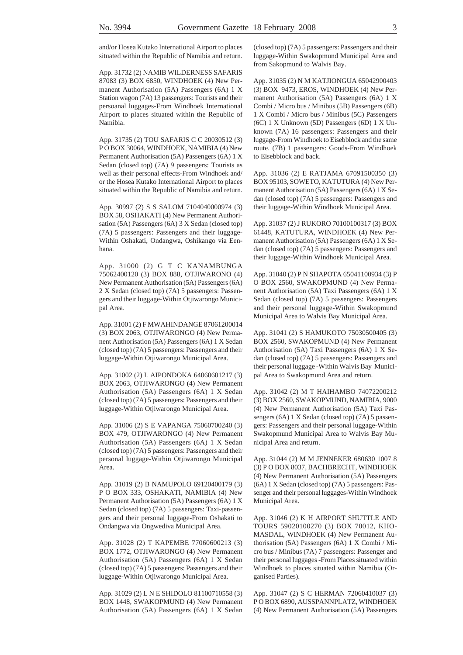and/or Hosea Kutako International Airport to places situated within the Republic of Namibia and return.

App. 31732 (2) NAMIB WILDERNESS SAFARIS 87083 (3) BOX 6850, WINDHOEK (4) New Permanent Authorisation (5A) Passengers (6A) 1 X Station wagon (7A) 13 passengers: Tourists and their persoanal luggages-From Windhoek International Airport to places situated within the Republic of Namibia.

App. 31735 (2) TOU SAFARIS C C 20030512 (3) P O BOX 30064, WINDHOEK, NAMIBIA (4) New Permanent Authorisation (5A) Passengers (6A) 1 X Sedan (closed top) (7A) 9 passengers: Tourists as well as their personal effects-From Windhoek and/ or the Hosea Kutako International Airport to places situated within the Republic of Namibia and return.

App. 30997 (2) S S SALOM 7104040000974 (3) BOX 58, OSHAKATI (4) New Permanent Authorisation (5A) Passengers (6A) 3 X Sedan (closed top) (7A) 5 passengers: Passengers and their luggage-Within Oshakati, Ondangwa, Oshikango via Eenhana.

App. 31000 (2) G T C KANAMBUNGA 75062400120 (3) BOX 888, OTJIWARONO (4) New Permanent Authorisation (5A) Passengers (6A) 2 X Sedan (closed top) (7A) 5 passengers: Passengers and their luggage-Within Otjiwarongo Municipal Area.

App. 31001 (2) F MWAHINDANGE 87061200014 (3) BOX 2063, OTJIWARONGO (4) New Permanent Authorisation (5A) Passengers (6A) 1 X Sedan (closed top) (7A) 5 passengers: Passengers and their luggage-Within Otjiwarongo Municipal Area.

App. 31002 (2) L AIPONDOKA 64060601217 (3) BOX 2063, OTJIWARONGO (4) New Permanent Authorisation (5A) Passengers (6A) 1 X Sedan (closed top) (7A) 5 passengers: Passengers and their luggage-Within Otjiwarongo Municipal Area.

App. 31006 (2) S E VAPANGA 75060700240 (3) BOX 479, OTJIWARONGO (4) New Permanent Authorisation (5A) Passengers (6A) 1 X Sedan (closed top) (7A) 5 passengers: Passengers and their personal luggage-Within Otjiwarongo Municipal Area.

App. 31019 (2) B NAMUPOLO 69120400179 (3) P O BOX 333, OSHAKATI, NAMIBIA (4) New Permanent Authorisation (5A) Passengers (6A) 1 X Sedan (closed top) (7A) 5 passengers: Taxi-passengers and their personal luggage-From Oshakati to Ondangwa via Ongwediva Municipal Area.

App. 31028 (2) T KAPEMBE 77060600213 (3) BOX 1772, OTJIWARONGO (4) New Permanent Authorisation (5A) Passengers (6A) 1 X Sedan (closed top) (7A) 5 passengers: Passengers and their luggage-Within Otjiwarongo Municipal Area.

App. 31029 (2) L N E SHIDOLO 81100710558 (3) BOX 1448, SWAKOPMUND (4) New Permanent Authorisation (5A) Passengers (6A) 1 X Sedan (closed top) (7A) 5 passengers: Passengers and their luggage-Within Swakopmund Municipal Area and from Sakopmund to Walvis Bay.

App. 31035 (2) N M KATJIONGUA 65042900403 (3) BOX 9473, EROS, WINDHOEK (4) New Permanent Authorisation (5A) Passengers (6A) 1 X Combi / Micro bus / Minibus (5B) Passengers (6B) 1 X Combi / Micro bus / Minibus (5C) Passengers (6C) 1 X Unknown (5D) Passengers (6D) 1 X Unknown (7A) 16 passengers: Passengers and their luggage-From Windhoek to Eisebblock and the same route. (7B) 1 passengers: Goods-From Windhoek to Eisebblock and back.

App. 31036 (2) E RATJAMA 67091500350 (3) BOX 95103, SOWETO, KATUTURA (4) New Permanent Authorisation (5A) Passengers (6A) 1 X Sedan (closed top) (7A) 5 passengers: Passengers and their luggage-Within Windhoek Municipal Area.

App. 31037 (2) J RUKORO 70100100317 (3) BOX 61448, KATUTURA, WINDHOEK (4) New Permanent Authorisation (5A) Passengers (6A) 1 X Sedan (closed top) (7A) 5 passengers: Passengers and their luggage-Within Windhoek Municipal Area.

App. 31040 (2) P N SHAPOTA 65041100934 (3) P O BOX 2560, SWAKOPMUND (4) New Permanent Authorisation (5A) Taxi Passengers (6A) 1 X Sedan (closed top) (7A) 5 passengers: Passengers and their personal luggage-Within Swakopmund Municipal Area to Walvis Bay Municipal Area.

App. 31041 (2) S HAMUKOTO 75030500405 (3) BOX 2560, SWAKOPMUND (4) New Permanent Authorisation (5A) Taxi Passengers (6A) 1 X Sedan (closed top) (7A) 5 passengers: Passengers and their personal luggage -Within Walvis Bay Municipal Area to Swakopmund Area and return.

App. 31042 (2) M T HAIHAMBO 74072200212 (3) BOX 2560, SWAKOPMUND, NAMIBIA, 9000 (4) New Permanent Authorisation (5A) Taxi Passengers (6A) 1 X Sedan (closed top) (7A) 5 passengers: Passengers and their personal luggage-Within Swakopmund Municipal Area to Walvis Bay Municipal Area and return.

App. 31044 (2) M M JENNEKER 680630 1007 8 (3) P O BOX 8037, BACHBRECHT, WINDHOEK (4) New Permanent Authorisation (5A) Passengers (6A) 1 X Sedan (closed top) (7A) 5 passengers: Passenger and their personal luggages-Within Windhoek Municipal Area.

App. 31046 (2) K H AIRPORT SHUTTLE AND TOURS 59020100270 (3) BOX 70012, KHO-MASDAL, WINDHOEK (4) New Permanent Authorisation (5A) Passengers (6A) 1 X Combi / Micro bus / Minibus (7A) 7 passengers: Passenger and their personal luggages -From Places situated within Windhoek to places situated within Namibia (Organised Parties).

App. 31047 (2) S C HERMAN 72060410037 (3) P O BOX 6890, AUSSPANNPLATZ, WINDHOEK (4) New Permanent Authorisation (5A) Passengers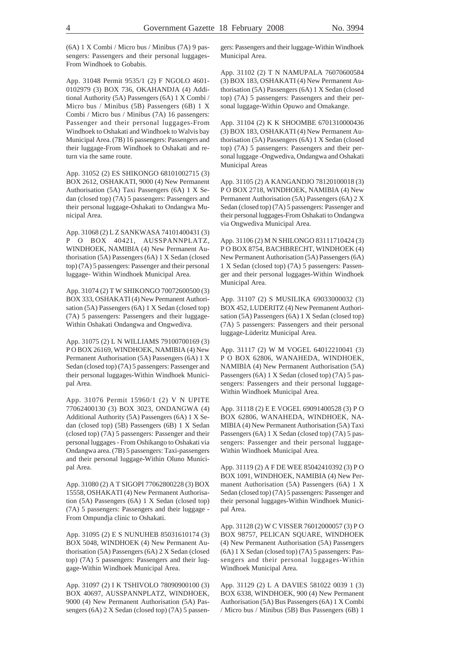(6A) 1 X Combi / Micro bus / Minibus (7A) 9 passengers: Passengers and their personal luggages-From Windhoek to Gobabis.

App. 31048 Permit 9535/1 (2) F NGOLO 4601- 0102979 (3) BOX 736, OKAHANDJA (4) Additional Authority (5A) Passengers (6A) 1 X Combi / Micro bus / Minibus (5B) Passengers (6B) 1 X Combi / Micro bus / Minibus (7A) 16 passengers: Passenger and their personal luggages-From Windhoek to Oshakati and Windhoek to Walvis bay Municipal Area. (7B) 16 passengers: Passengers and their luggage-From Windhoek to Oshakati and return via the same route.

App. 31052 (2) ES SHIKONGO 68101002715 (3) BOX 2612, OSHAKATI, 9000 (4) New Permanent Authorisation (5A) Taxi Passengers (6A) 1 X Sedan (closed top) (7A) 5 passengers: Passengers and their personal luggage-Oshakati to Ondangwa Municipal Area.

App. 31068 (2) L Z SANKWASA 74101400431 (3) P O BOX 40421, AUSSPANNPLATZ, WINDHOEK, NAMIBIA (4) New Permanent Authorisation (5A) Passengers (6A) 1 X Sedan (closed top) (7A) 5 passengers: Passenger and their personal luggage- Within Windhoek Municipal Area.

App. 31074 (2) T W SHIKONGO 70072600500 (3) BOX 333, OSHAKATI (4) New Permanent Authorisation (5A) Passengers (6A) 1 X Sedan (closed top) (7A) 5 passengers: Passengers and their luggage-Within Oshakati Ondangwa and Ongwediva.

App. 31075 (2) L N WILLIAMS 79100700169 (3) P O BOX 26169, WINDHOEK, NAMIBIA (4) New Permanent Authorisation (5A) Passengers (6A) 1 X Sedan (closed top) (7A) 5 passengers: Passenger and their personal luggages-Within Windhoek Municipal Area.

App. 31076 Permit 15960/1 (2) V N UPITE 77062400130 (3) BOX 3023, ONDANGWA (4) Additional Authority (5A) Passengers (6A) 1 X Sedan (closed top) (5B) Passengers (6B) 1 X Sedan (closed top) (7A) 5 passengers: Passenger and their personal luggages - From Oshikango to Oshakati via Ondangwa area. (7B) 5 passengers: Taxi-passengers and their personal luggage-Within Oluno Municipal Area.

App. 31080 (2) A T SIGOPI 77062800228 (3) BOX 15558, OSHAKATI (4) New Permanent Authorisation (5A) Passengers (6A) 1 X Sedan (closed top) (7A) 5 passengers: Passengers and their luggage - From Ompundja clinic to Oshakati.

App. 31095 (2) E S NUNUHEB 85031610174 (3) BOX 5048, WINDHOEK (4) New Permanent Authorisation (5A) Passengers (6A) 2 X Sedan (closed top) (7A) 5 passengers: Passengers and their luggage-Within Windhoek Municipal Area.

App. 31097 (2) I K TSHIVOLO 78090900100 (3) BOX 40697, AUSSPANNPLATZ, WINDHOEK, 9000 (4) New Permanent Authorisation (5A) Passengers (6A) 2 X Sedan (closed top) (7A) 5 passengers: Passengers and their luggage-Within Windhoek Municipal Area.

App. 31102 (2) T N NAMUPALA 76070600584 (3) BOX 183, OSHAKATI (4) New Permanent Authorisation (5A) Passengers (6A) 1 X Sedan (closed top) (7A) 5 passengers: Passengers and their personal luggage-Within Opuwo and Omakange.

App. 31104 (2) K K SHOOMBE 6701310000436 (3) BOX 183, OSHAKATI (4) New Permanent Authorisation (5A) Passengers (6A) 1 X Sedan (closed top) (7A) 5 passengers: Passengers and their personal luggage -Ongwediva, Ondangwa and Oshakati Municipal Areas

App. 31105 (2) A KANGANDJO 78120100018 (3) P O BOX 2718, WINDHOEK, NAMIBIA (4) New Permanent Authorisation (5A) Passengers (6A) 2 X Sedan (closed top) (7A) 5 passengers: Passenger and their personal luggages-From Oshakati to Ondangwa via Ongwediva Municipal Area.

App. 31106 (2) M N SHILONGO 83111710424 (3) P O BOX 8754, BACHBRECHT, WINDHOEK (4) New Permanent Authorisation (5A) Passengers (6A) 1 X Sedan (closed top) (7A) 5 passengers: Passenger and their personal luggages-Within Windhoek Municipal Area.

App. 31107 (2) S MUSILIKA 69033000032 (3) BOX 452, LUDERITZ (4) New Permanent Authorisation (5A) Passengers (6A) 1 X Sedan (closed top) (7A) 5 passengers: Passengers and their personal luggage-Lüderitz Municipal Area.

App. 31117 (2) W M VOGEL 64012210041 (3) P O BOX 62806, WANAHEDA, WINDHOEK, NAMIBIA (4) New Permanent Authorisation (5A) Passengers (6A) 1 X Sedan (closed top) (7A) 5 passengers: Passengers and their personal luggage-Within Windhoek Municipal Area.

App. 31118 (2) E E VOGEL 69091400528 (3) P O BOX 62806, WANAHEDA, WINDHOEK, NA-MIBIA (4) New Permanent Authorisation (5A) Taxi Passengers (6A) 1 X Sedan (closed top) (7A) 5 passengers: Passenger and their personal luggage-Within Windhoek Municipal Area.

App. 31119 (2) A F DE WEE 85042410392 (3) P O BOX 1091, WINDHOEK, NAMIBIA (4) New Permanent Authorisation (5A) Passengers (6A) 1 X Sedan (closed top) (7A) 5 passengers: Passenger and their personal luggages-Within Windhoek Municipal Area.

App. 31128 (2) W C VISSER 76012000057 (3) P O BOX 98757, PELICAN SQUARE, WINDHOEK (4) New Permanent Authorisation (5A) Passengers (6A) 1 X Sedan (closed top) (7A) 5 passengers: Passengers and their personal luggages-Within Windhoek Municipal Area.

App. 31129 (2) L A DAVIES 581022 0039 1 (3) BOX 6338, WINDHOEK, 900 (4) New Permanent Authorisation (5A) Bus Passengers (6A) 1 X Combi / Micro bus / Minibus (5B) Bus Passengers (6B) 1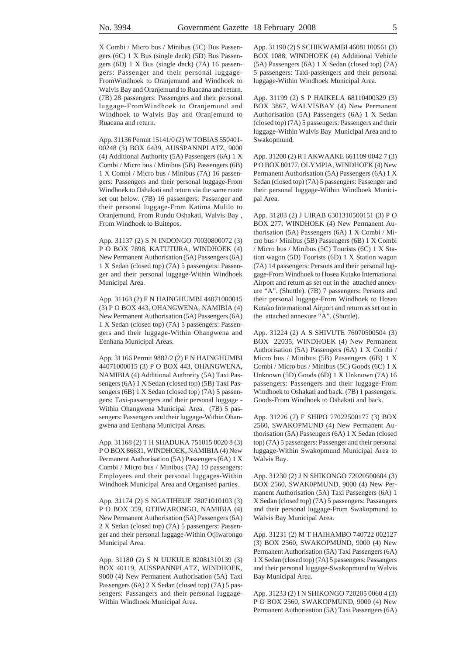X Combi / Micro bus / Minibus (5C) Bus Passengers (6C) 1 X Bus (single deck) (5D) Bus Passengers (6D) 1 X Bus (single deck) (7A) 16 passengers: Passenger and their personal luggage-FromWindhoek to Oranjemund and Windhoek to Walvis Bay and Oranjemund to Ruacana and return. (7B) 28 passengers: Passengers and their personal luggage-FromWindhoek to Oranjemund and Windhoek to Walvis Bay and Oranjemund to Ruacana and return.

App. 31136 Permit 15141/0 (2) W TOBIAS 550401- 00248 (3) BOX 6439, AUSSPANNPLATZ, 9000 (4) Additional Authority (5A) Passengers (6A) 1 X Combi / Micro bus / Minibus (5B) Passengers (6B) 1 X Combi / Micro bus / Minibus (7A) 16 passengers: Passengers and their personal luggage-From Windhoek to Oshakati and return via the same ruote set out below. (7B) 16 passengers: Passenger and their personal luggage-From Katima Mulilo to Oranjemund, From Rundu Oshakati, Walvis Bay , From Windhoek to Buitepos.

App. 31137 (2) S N INDONGO 70030800072 (3) P O BOX 7898, KATUTURA, WINDHOEK (4) New Permanent Authorisation (5A) Passengers (6A) 1 X Sedan (closed top) (7A) 5 passengers: Passenger and their personal luggage-Within Windhoek Municipal Area.

App. 31163 (2) F N HAINGHUMBI 44071000015 (3) P O BOX 443, OHANGWENA, NAMIBIA (4) New Permanent Authorisation (5A) Passengers (6A) 1 X Sedan (closed top) (7A) 5 passengers: Passengers and their luggage-Within Ohangwena and Eenhana Municipal Areas.

App. 31166 Permit 9882/2 (2) F N HAINGHUMBI 44071000015 (3) P O BOX 443, OHANGWENA, NAMIBIA (4) Additional Authority (5A) Taxi Passengers (6A) 1 X Sedan (closed top) (5B) Taxi Passengers (6B) 1 X Sedan (closed top) (7A) 5 passengers: Taxi-passengers and their personal luggage - Within Ohangwena Municipal Area. (7B) 5 passengers: Passengers and their luggage-Within Ohangwena and Eenhana Municipal Areas.

App. 31168 (2) T H SHADUKA 751015 0020 8 (3) P O BOX 86631, WINDHOEK, NAMIBIA (4) New Permanent Authorisation (5A) Passengers (6A) 1 X Combi / Micro bus / Minibus (7A) 10 passengers: Employees and their personal luggages-Within Windhoek Municipal Area and Organised parties.

App. 31174 (2) S NGATIHEUE 78071010103 (3) P O BOX 359, OTJIWARONGO, NAMIBIA (4) New Permanent Authorisation (5A) Passengers (6A) 2 X Sedan (closed top) (7A) 5 passengers: Passenger and their personal luggage-Within Otjiwarongo Municipal Area.

App. 31180 (2) S N UUKULE 82081310139 (3) BOX 40119, AUSSPANNPLATZ, WINDHOEK, 9000 (4) New Permanent Authorisation (5A) Taxi Passengers (6A) 2 X Sedan (closed top) (7A) 5 passengers: Passangers and their personal luggage-Within Windhoek Municipal Area.

App. 31190 (2) S SCHIKWAMBI 46081100561 (3) BOX 1088, WINDHOEK (4) Additional Vehicle (5A) Passengers (6A) 1 X Sedan (closed top) (7A) 5 passengers: Taxi-passengers and their personal luggage-Within Windhoek Municipal Area.

App. 31199 (2) S P HAIKELA 68110400329 (3) BOX 3867, WALVISBAY (4) New Permanent Authorisation (5A) Passengers (6A) 1 X Sedan (closed top) (7A) 5 passengers: Passengers and their luggage-Within Walvis Bay Municipal Area and to Swakopmund.

App. 31200 (2) R I AKWAAKE 661109 0042 7 (3) P O BOX 80177, OLYMPIA, WINDHOEK (4) New Permanent Authorisation (5A) Passengers (6A) 1 X Sedan (closed top) (7A) 5 passengers: Passenger and their personal luggage-Within Windhoek Municipal Area.

App. 31203 (2) J UIRAB 6301310500151 (3) P O BOX 277, WINDHOEK (4) New Permanent Authorisation (5A) Passengers (6A) 1 X Combi / Micro bus / Minibus (5B) Passengers (6B) 1 X Combi / Micro bus / Minibus (5C) Tourists (6C) 1 X Station wagon (5D) Tourists (6D) 1 X Station wagon (7A) 14 passengers: Persons and their personal luggage-From Windhoek to Hosea Kutako International Airport and return as set out in the attached annexure "A". (Shuttle). (7B) 7 passengers: Persons and their personal luggage-From Windhoek to Hosea Kutako International Airport and return as set out in the attached annexure "A". (Shuttle).

App. 31224 (2) A S SHIVUTE 76070500504 (3) BOX 22035, WINDHOEK (4) New Permanent Authorisation (5A) Passengers (6A) 1 X Combi / Micro bus / Minibus (5B) Passengers (6B) 1 X Combi / Micro bus / Minibus (5C) Goods (6C) 1 X Unknown (5D) Goods (6D) 1 X Unknown (7A) 16 passengers: Passengers and their luggage-From Windhoek to Oshakati and back. (7B) 1 passengers: Goods-From Windhoek to Oshakati and back.

App. 31226 (2) F SHIPO 77022500177 (3) BOX 2560, SWAKOPMUND (4) New Permanent Authorisation (5A) Passengers (6A) 1 X Sedan (closed top) (7A) 5 passengers: Passenger and their personal luggage-Within Swakopmund Municipal Area to Walvis Bay.

App. 31230 (2) J N SHIKONGO 72020500604 (3) BOX 2560, SWAK0PMUND, 9000 (4) New Permanent Authorisation (5A) Taxi Passengers (6A) 1 X Sedan (closed top) (7A) 5 passengers: Passangers and their personal luggage-From Swakopmund to Walvis Bay Municipal Area.

App. 31231 (2) M T HAIHAMBO 740722 002127 (3) BOX 2560, SWAKOPMUND, 9000 (4) New Permanent Authorisation (5A) Taxi Passengers (6A) 1 X Sedan (closed top) (7A) 5 passengers: Passangers and their personal luggage-Swakopmund to Walvis Bay Municipal Area.

App. 31233 (2) I N SHIKONGO 720205 0060 4 (3) P O BOX 2560, SWAKOPMUND, 9000 (4) New Permanent Authorisation (5A) Taxi Passengers (6A)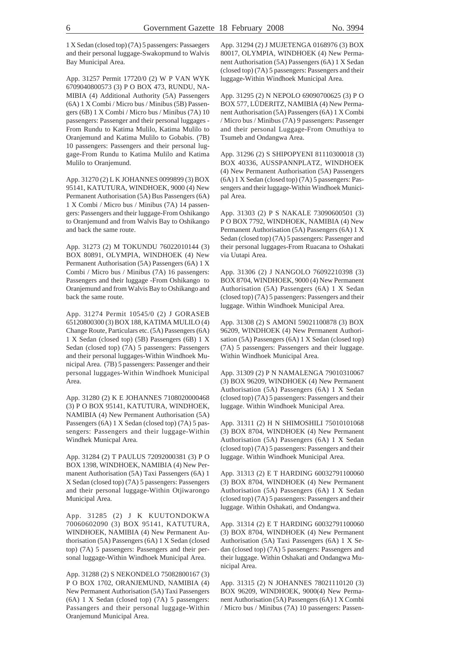1 X Sedan (closed top) (7A) 5 passengers: Passaegers and their personal luggage-Swakopmund to Walvis Bay Municipal Area.

App. 31257 Permit 17720/0 (2) W P VAN WYK 6709040800573 (3) P O BOX 473, RUNDU, NA-MIBIA (4) Additional Authority (5A) Passengers (6A) 1 X Combi / Micro bus / Minibus (5B) Passengers (6B) 1 X Combi / Micro bus / Minibus (7A) 10 passengers: Passenger and their personal luggages - From Rundu to Katima Mulilo, Katima Mulilo to Oranjemund and Katima Mulilo to Gobabis. (7B) 10 passengers: Passengers and their personal luggage-From Rundu to Katima Mulilo and Katima Mulilo to Oranjemund.

App. 31270 (2) L K JOHANNES 0099899 (3) BOX 95141, KATUTURA, WINDHOEK, 9000 (4) New Permanent Authorisation (5A) Bus Passengers (6A) 1 X Combi / Micro bus / Minibus (7A) 14 passengers: Passengers and their luggage-From Oshikango to Oranjemund and from Walvis Bay to Oshikango and back the same route.

App. 31273 (2) M TOKUNDU 76022010144 (3) BOX 80891, OLYMPIA, WINDHOEK (4) New Permanent Authorisation (5A) Passengers (6A) 1 X Combi / Micro bus / Minibus (7A) 16 passengers: Passengers and their luggage -From Oshikango to Oranjemund and from Walvis Bay to Oshikango and back the same route.

App. 31274 Permit 10545/0 (2) J GORASEB 65120800300 (3) BOX 188, KATIMA MULILO (4) Change Route, Particulars etc. (5A) Passengers (6A) 1 X Sedan (closed top) (5B) Passengers (6B) 1 X Sedan (closed top) (7A) 5 passengers: Passengers and their personal luggages-Within Windhoek Municipal Area. (7B) 5 passengers: Passenger and their personal luggages-Within Windhoek Municipal Area.

App. 31280 (2) K E JOHANNES 7108020000468 (3) P O BOX 95141, KATUTURA, WINDHOEK, NAMIBIA (4) New Permanent Authorisation (5A) Passengers (6A) 1 X Sedan (closed top) (7A) 5 passengers: Passengers and their luggage-Within Windhek Municpal Area.

App. 31284 (2) T PAULUS 72092000381 (3) P O BOX 1398, WINDHOEK, NAMIBIA (4) New Permanent Authorisation (5A) Taxi Passengers (6A) 1 X Sedan (closed top) (7A) 5 passengers: Passengers and their personal luggage-Within Otjiwarongo Municipal Area.

App. 31285 (2) J K KUUTONDOKWA 70060602090 (3) BOX 95141, KATUTURA, WINDHOEK, NAMIBIA (4) New Permanent Authorisation (5A) Passengers (6A) 1 X Sedan (closed top) (7A) 5 passengers: Passengers and their personal luggage-Within Windhoek Municipal Area.

App. 31288 (2) S NEKONDELO 75082800167 (3) P O BOX 1702, ORANJEMUND, NAMIBIA (4) New Permanent Authorisation (5A) Taxi Passengers (6A) 1 X Sedan (closed top) (7A) 5 passengers: Passangers and their personal luggage-Within Oranjemund Municipal Area.

App. 31294 (2) J MUJETENGA 0168976 (3) BOX 80017, OLYMPIA, WINDHOEK (4) New Permanent Authorisation (5A) Passengers (6A) 1 X Sedan (closed top) (7A) 5 passengers: Passengers and their luggage-Within Windhoek Municipal Area.

App. 31295 (2) N NEPOLO 69090700625 (3) P O BOX 577, LÜDERITZ, NAMIBIA (4) New Permanent Authorisation (5A) Passengers (6A) 1 X Combi / Micro bus / Minibus (7A) 9 passengers: Passenger and their personal Luggage-From Omuthiya to Tsumeb and Ondangwa Area.

App. 31296 (2) S SHIPOPYENI 81110300018 (3) BOX 40336, AUSSPANNPLATZ, WINDHOEK (4) New Permanent Authorisation (5A) Passengers (6A) 1 X Sedan (closed top) (7A) 5 passengers: Passengers and their luggage-Within Windhoek Municipal Area.

App. 31303 (2) P S NAKALE 73090600501 (3) P O BOX 7792, WINDHOEK, NAMIBIA (4) New Permanent Authorisation (5A) Passengers (6A) 1 X Sedan (closed top) (7A) 5 passengers: Passenger and their personal luggages-From Ruacana to Oshakati via Uutapi Area.

App. 31306 (2) J NANGOLO 76092210398 (3) BOX 8704, WINDHOEK, 9000 (4) New Permanent Authorisation (5A) Passengers (6A) 1 X Sedan (closed top) (7A) 5 passengers: Passengers and their luggage. Within Windhoek Municipal Area.

App. 31308 (2) S AMONI 59021100878 (3) BOX 96209, WINDHOEK (4) New Permanent Authorisation (5A) Passengers (6A) 1 X Sedan (closed top) (7A) 5 passengers: Passengers and their luggage. Within Windhoek Municipal Area.

App. 31309 (2) P N NAMALENGA 79010310067 (3) BOX 96209, WINDHOEK (4) New Permanent Authorisation (5A) Passengers (6A) 1 X Sedan (closed top) (7A) 5 passengers: Passengers and their luggage. Within Windhoek Municipal Area.

App. 31311 (2) H N SHIMOSHILI 75010101068 (3) BOX 8704, WINDHOEK (4) New Permanent Authorisation (5A) Passengers (6A) 1 X Sedan (closed top) (7A) 5 passengers: Passengers and their luggage. Within Windhoek Municipal Area.

App. 31313 (2) E T HARDING 60032791100060 (3) BOX 8704, WINDHOEK (4) New Permanent Authorisation (5A) Passengers (6A) 1 X Sedan (closed top) (7A) 5 passengers: Passengers and their luggage. Within Oshakati, and Ondangwa.

App. 31314 (2) E T HARDING 60032791100060 (3) BOX 8704, WINDHOEK (4) New Permanent Authorisation (5A) Taxi Passengers (6A) 1 X Sedan (closed top) (7A) 5 passengers: Passengers and their luggage. Within Oshakati and Ondangwa Municipal Area.

App. 31315 (2) N JOHANNES 78021110120 (3) BOX 96209, WINDHOEK, 9000(4) New Permanent Authorisation (5A) Passengers (6A) 1 X Combi / Micro bus / Minibus (7A) 10 passengers: Passen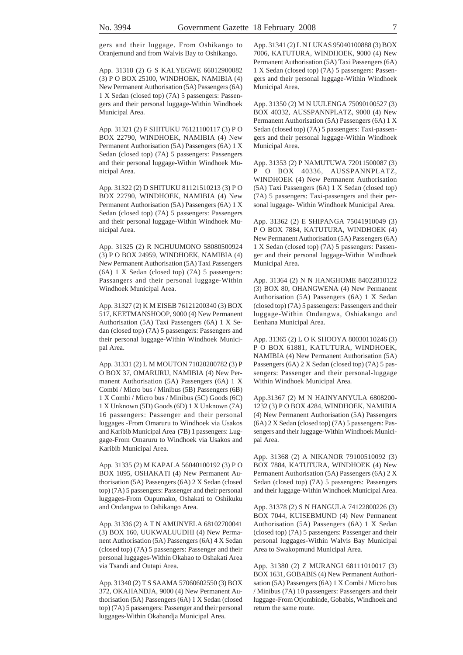gers and their luggage. From Oshikango to Oranjemund and from Walvis Bay to Oshikango.

App. 31318 (2) G S KALYEGWE 66012900082 (3) P O BOX 25100, WINDHOEK, NAMIBIA (4) New Permanent Authorisation (5A) Passengers (6A) 1 X Sedan (closed top) (7A) 5 passengers: Passengers and their personal luggage-Within Windhoek Municipal Area.

App. 31321 (2) F SHITUKU 76121100117 (3) P O BOX 22790, WINDHOEK, NAMIBIA (4) New Permanent Authorisation (5A) Passengers (6A) 1 X Sedan (closed top) (7A) 5 passengers: Passengers and their personal luggage-Within Windhoek Municipal Area.

App. 31322 (2) D SHITUKU 81121510213 (3) P O BOX 22790, WINDHOEK, NAMIBIA (4) New Permanent Authorisation (5A) Passengers (6A) 1 X Sedan (closed top) (7A) 5 passengers: Passengers and their personal luggage-Within Windhoek Municipal Area.

App. 31325 (2) R NGHUUMONO 58080500924 (3) P O BOX 24959, WINDHOEK, NAMIBIA (4) New Permanent Authorisation (5A) Taxi Passengers (6A) 1 X Sedan (closed top) (7A) 5 passengers: Passangers and their personal luggage-Within Windhoek Municipal Area.

App. 31327 (2) K M EISEB 76121200340 (3) BOX 517, KEETMANSHOOP, 9000 (4) New Permanent Authorisation (5A) Taxi Passengers (6A) 1 X Sedan (closed top) (7A) 5 passengers: Passengers and their personal luggage-Within Windhoek Municipal Area.

App. 31331 (2) L M MOUTON 71020200782 (3) P O BOX 37, OMARURU, NAMIBIA (4) New Permanent Authorisation (5A) Passengers (6A) 1 X Combi / Micro bus / Minibus (5B) Passengers (6B) 1 X Combi / Micro bus / Minibus (5C) Goods (6C) 1 X Unknown (5D) Goods (6D) 1 X Unknown (7A) 16 passengers: Passenger and their personal luggages -From Omaruru to Windhoek via Usakos and Karibib Municipal Area (7B) 1 passengers: Luggage-From Omaruru to Windhoek via Usakos and Karibib Municipal Area.

App. 31335 (2) M KAPALA 56040100192 (3) P O BOX 1095, OSHAKATI (4) New Permanent Authorisation (5A) Passengers (6A) 2 X Sedan (closed top) (7A) 5 passengers: Passenger and their personal luggages-From Oupumako, Oshakati to Oshikuku and Ondangwa to Oshikango Area.

App. 31336 (2) A T N AMUNYELA 68102700041 (3) BOX 160, UUKWALUUDHI (4) New Permanent Authorisation (5A) Passengers (6A) 4 X Sedan (closed top) (7A) 5 passengers: Passenger and their personal luggages-Within Okahao to Oshakati Area via Tsandi and Outapi Area.

App. 31340 (2) T S SAAMA 57060602550 (3) BOX 372, OKAHANDJA, 9000 (4) New Permanent Authorisation (5A) Passengers (6A) 1 X Sedan (closed top) (7A) 5 passengers: Passenger and their personal luggages-Within Okahandja Municipal Area.

App. 31341 (2) L N LUKAS 95040100888 (3) BOX 7006, KATUTURA, WINDHOEK, 9000 (4) New Permanent Authorisation (5A) Taxi Passengers (6A) 1 X Sedan (closed top) (7A) 5 passengers: Passengers and their personal luggage-Within Windhoek Municipal Area.

App. 31350 (2) M N UULENGA 75090100527 (3) BOX 40332, AUSSPANNPLATZ, 9000 (4) New Permanent Authorisation (5A) Passengers (6A) 1 X Sedan (closed top) (7A) 5 passengers: Taxi-passengers and their personal luggage-Within Windhoek Municipal Area.

App. 31353 (2) P NAMUTUWA 72011500087 (3) P O BOX 40336, AUSSPANNPLATZ, WINDHOEK (4) New Permanent Authorisation (5A) Taxi Passengers (6A) 1 X Sedan (closed top) (7A) 5 passengers: Taxi-passengers and their personal luggage- Within Windhoek Municipal Area.

App. 31362 (2) E SHIPANGA 75041910049 (3) P O BOX 7884, KATUTURA, WINDHOEK (4) New Permanent Authorisation (5A) Passengers (6A) 1 X Sedan (closed top) (7A) 5 passengers: Passenger and their personal luggage-Within Windhoek Municipal Area.

App. 31364 (2) N N HANGHOME 84022810122 (3) BOX 80, OHANGWENA (4) New Permanent Authorisation (5A) Passengers (6A) 1 X Sedan (closed top) (7A) 5 passengers: Passengers and their luggage-Within Ondangwa, Oshiakango and Eenhana Municipal Area.

App. 31365 (2) L O K SHOOYA 80030110246 (3) P O BOX 61881, KATUTURA, WINDHOEK, NAMIBIA (4) New Permanent Authorisation (5A) Passengers (6A) 2 X Sedan (closed top) (7A) 5 passengers: Passenger and their personal-luggage Within Windhoek Municipal Area.

App.31367 (2) M N HAINYANYULA 6808200- 1232 (3) P O BOX 4284, WINDHOEK, NAMIBIA (4) New Permanent Authorisation (5A) Passengers (6A) 2 X Sedan (closed top) (7A) 5 passengers: Passengers and their luggage-Within Windhoek Municipal Area.

App. 31368 (2) A NIKANOR 79100510092 (3) BOX 7884, KATUTURA, WINDHOEK (4) New Permanent Authorisation (5A) Passengers (6A) 2 X Sedan (closed top) (7A) 5 passengers: Passengers and their luggage-Within Windhoek Municipal Area.

App. 31378 (2) S N HANGULA 74122800226 (3) BOX 7044, KUISEBMUND (4) New Permanent Authorisation (5A) Passengers (6A) 1 X Sedan (closed top) (7A) 5 passengers: Passenger and their personal luggages-Within Walvis Bay Municipal Area to Swakopmund Municipal Area.

App. 31380 (2) Z MURANGI 68111010017 (3) BOX 1631, GOBABIS (4) New Permanent Authorisation (5A) Passengers (6A) 1 X Combi / Micro bus / Minibus (7A) 10 passengers: Passengers and their luggage-From Otjombinde, Gobabis, Windhoek and return the same route.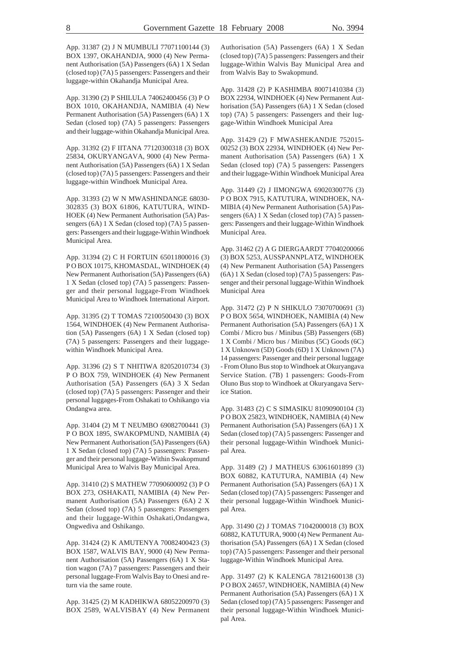App. 31387 (2) J N MUMBULI 77071100144 (3) BOX 1397, OKAHANDJA, 9000 (4) New Permanent Authorisation (5A) Passengers (6A) 1 X Sedan (closed top) (7A) 5 passengers: Passengers and their luggage-within Okahandja Municipal Area.

App. 31390 (2) P SHILULA 74062400456 (3) P O BOX 1010, OKAHANDJA, NAMIBIA (4) New Permanent Authorisation (5A) Passengers (6A) 1 X Sedan (closed top) (7A) 5 passengers: Passengers and their luggage-within Okahandja Municipal Area.

App. 31392 (2) F IITANA 77120300318 (3) BOX 25834, OKURYANGAVA, 9000 (4) New Permanent Authorisation (5A) Passengers (6A) 1 X Sedan (closed top) (7A) 5 passengers: Passengers and their luggage-within Windhoek Municipal Area.

App. 31393 (2) W N MWASHINDANGE 68030- 302835 (3) BOX 61806, KATUTURA, WIND-HOEK (4) New Permanent Authorisation (5A) Passengers (6A) 1 X Sedan (closed top) (7A) 5 passengers: Passengers and their luggage-Within Windhoek Municipal Area.

App. 31394 (2) C H FORTUIN 65011800016 (3) P O BOX 10175, KHOMASDAL, WINDHOEK (4) New Permanent Authorisation (5A) Passengers (6A) 1 X Sedan (closed top) (7A) 5 passengers: Passenger and their personal luggage-From Windhoek Municipal Area to Windhoek International Airport.

App. 31395 (2) T TOMAS 72100500430 (3) BOX 1564, WINDHOEK (4) New Permanent Authorisation (5A) Passengers (6A) 1 X Sedan (closed top) (7A) 5 passengers: Passengers and their luggagewithin Windhoek Municipal Area.

App. 31396 (2) S T NHITIWA 82052010734 (3) P O BOX 759, WINDHOEK (4) New Permanent Authorisation (5A) Passengers (6A) 3 X Sedan (closed top) (7A) 5 passengers: Passenger and their personal luggages-From Oshakati to Oshikango via Ondangwa area.

App. 31404 (2) M T NEUMBO 69082700441 (3) P O BOX 1895, SWAKOPMUND, NAMIBIA (4) New Permanent Authorisation (5A) Passengers (6A) 1 X Sedan (closed top) (7A) 5 passengers: Passenger and their personal luggage-Within Swakopmund Municipal Area to Walvis Bay Municipal Area.

App. 31410 (2) S MATHEW 77090600092 (3) P O BOX 273, OSHAKATI, NAMIBIA (4) New Permanent Authorisation (5A) Passengers (6A) 2 X Sedan (closed top) (7A) 5 passengers: Passengers and their luggage-Within Oshakati,Ondangwa, Ongwediva and Oshikango.

App. 31424 (2) K AMUTENYA 70082400423 (3) BOX 1587, WALVIS BAY, 9000 (4) New Permanent Authorisation (5A) Passengers (6A) 1 X Station wagon (7A) 7 passengers: Passengers and their personal luggage-From Walvis Bay to Onesi and return via the same route.

App. 31425 (2) M KADHIKWA 68052200970 (3) BOX 2589, WALVISBAY (4) New Permanent Authorisation (5A) Passengers (6A) 1 X Sedan (closed top) (7A) 5 passengers: Passengers and their luggage-Within Walvis Bay Municipal Area and from Walvis Bay to Swakopmund.

App. 31428 (2) P KASHIMBA 80071410384 (3) BOX 22934, WINDHOEK (4) New Permanent Authorisation (5A) Passengers (6A) 1 X Sedan (closed top) (7A) 5 passengers: Passengers and their luggage-Within Windhoek Municipal Area

App. 31429 (2) F MWASHEKANDJE 752015- 00252 (3) BOX 22934, WINDHOEK (4) New Permanent Authorisation (5A) Passengers (6A) 1 X Sedan (closed top) (7A) 5 passengers: Passengers and their luggage-Within Windhoek Municipal Area

App. 31449 (2) J IIMONGWA 69020300776 (3) P O BOX 7915, KATUTURA, WINDHOEK, NA-MIBIA (4) New Permanent Authorisation (5A) Passengers (6A) 1 X Sedan (closed top) (7A) 5 passengers: Passengers and their luggage-Within Windhoek Municipal Area.

App. 31462 (2) A G DIERGAARDT 77040200066 (3) BOX 5253, AUSSPANNPLATZ, WINDHOEK (4) New Permanent Authorisation (5A) Passengers (6A) 1 X Sedan (closed top) (7A) 5 passengers: Passenger and their personal luggage-Within Windhoek Municipal Area

App. 31472 (2) P N SHIKULO 73070700691 (3) P O BOX 5654, WINDHOEK, NAMIBIA (4) New Permanent Authorisation (5A) Passengers (6A) 1 X Combi / Micro bus / Minibus (5B) Passengers (6B) 1 X Combi / Micro bus / Minibus (5C) Goods (6C) 1 X Unknown (5D) Goods (6D) 1 X Unknown (7A) 14 passengers: Passenger and their personal luggage - From Oluno Bus stop to Windhoek at Okuryangava Service Station. (7B) 1 passengers: Goods-From Oluno Bus stop to Windhoek at Okuryangava Service Station.

App. 31483 (2) C S SIMASIKU 81090900104 (3) P O BOX 25823, WINDHOEK, NAMIBIA (4) New Permanent Authorisation (5A) Passengers (6A) 1 X Sedan (closed top) (7A) 5 passengers: Passenger and their personal luggage-Within Windhoek Municipal Area.

App. 31489 (2) J MATHEUS 63061601899 (3) BOX 60882, KATUTURA, NAMIBIA (4) New Permanent Authorisation (5A) Passengers (6A) 1 X Sedan (closed top) (7A) 5 passengers: Passenger and their personal luggage-Within Windhoek Municipal Area.

App. 31490 (2) J TOMAS 71042000018 (3) BOX 60882, KATUTURA, 9000 (4) New Permanent Authorisation (5A) Passengers (6A) 1 X Sedan (closed top) (7A) 5 passengers: Passenger and their personal luggage-Within Windhoek Municipal Area.

App. 31497 (2) K KALENGA 78121600138 (3) P O BOX 24657, WINDHOEK, NAMIBIA (4) New Permanent Authorisation (5A) Passengers (6A) 1 X Sedan (closed top) (7A) 5 passengers: Passenger and their personal luggage-Within Windhoek Municipal Area.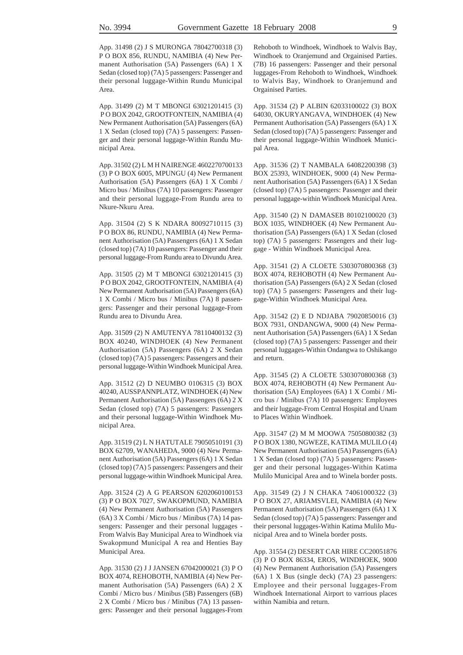App. 31498 (2) J S MURONGA 78042700318 (3) P O BOX 856, RUNDU, NAMIBIA (4) New Permanent Authorisation (5A) Passengers (6A) 1 X Sedan (closed top) (7A) 5 passengers: Passenger and their personal luggage-Within Rundu Municipal Area.

App. 31499 (2) M T MBONGI 63021201415 (3) P O BOX 2042, GROOTFONTEIN, NAMIBIA (4) New Permanent Authorisation (5A) Passengers (6A) 1 X Sedan (closed top) (7A) 5 passengers: Passenger and their personal luggage-Within Rundu Municipal Area.

App. 31502 (2) L M H NAIRENGE 4602270700133 (3) P O BOX 6005, MPUNGU (4) New Permanent Authorisation (5A) Passengers (6A) 1 X Combi / Micro bus / Minibus (7A) 10 passengers: Passenger and their personal luggage-From Rundu area to Nkure-Nkuru Area.

App. 31504 (2) S K NDARA 80092710115 (3) P O BOX 86, RUNDU, NAMIBIA (4) New Permanent Authorisation (5A) Passengers (6A) 1 X Sedan (closed top) (7A) 10 passengers: Passenger and their personal luggage-From Rundu area to Divundu Area.

App. 31505 (2) M T MBONGI 63021201415 (3) P O BOX 2042, GROOTFONTEIN, NAMIBIA (4) New Permanent Authorisation (5A) Passengers (6A) 1 X Combi / Micro bus / Minibus (7A) 8 passengers: Passenger and their personal luggage-From Rundu area to Divundu Area.

App. 31509 (2) N AMUTENYA 78110400132 (3) BOX 40240, WINDHOEK (4) New Permanent Authorisation (5A) Passengers (6A) 2 X Sedan (closed top) (7A) 5 passengers: Passengers and their personal luggage-Within Windhoek Municipal Area.

App. 31512 (2) D NEUMBO 0106315 (3) BOX 40240, AUSSPANNPLATZ, WINDHOEK (4) New Permanent Authorisation (5A) Passengers (6A) 2 X Sedan (closed top) (7A) 5 passengers: Passengers and their personal luggage-Within Windhoek Municipal Area.

App. 31519 (2) L N HATUTALE 79050510191 (3) BOX 62709, WANAHEDA, 9000 (4) New Permanent Authorisation (5A) Passengers (6A) 1 X Sedan (closed top) (7A) 5 passengers: Passengers and their personal luggage-within Windhoek Municipal Area.

App. 31524 (2) A G PEARSON 6202060100153 (3) P O BOX 7027, SWAKOPMUND, NAMIBIA (4) New Permanent Authorisation (5A) Passengers (6A) 3 X Combi / Micro bus / Minibus (7A) 14 passengers: Passenger and their personal luggages - From Walvis Bay Municipal Area to Windhoek via Swakopmund Municipal A rea and Henties Bay Municipal Area.

App. 31530 (2) J J JANSEN 67042000021 (3) P O BOX 4074, REHOBOTH, NAMIBIA (4) New Permanent Authorisation (5A) Passengers (6A) 2 X Combi / Micro bus / Minibus (5B) Passengers (6B) 2 X Combi / Micro bus / Minibus (7A) 13 passengers: Passenger and their personal luggages-From Rehoboth to Windhoek, Windhoek to Walvis Bay, Windhoek to Oranjemund and Orgainised Parties. (7B) 16 passengers: Passenger and their personal luggages-From Rehoboth to Windhoek, Windhoek to Walvis Bay, Windhoek to Oranjemund and Orgainised Parties.

App. 31534 (2) P ALBIN 62033100022 (3) BOX 64030, OKURYANGAVA, WINDHOEK (4) New Permanent Authorisation (5A) Passengers (6A) 1 X Sedan (closed top) (7A) 5 passengers: Passenger and their personal luggage-Within Windhoek Municipal Area.

App. 31536 (2) T NAMBALA 64082200398 (3) BOX 25393, WINDHOEK, 9000 (4) New Permanent Authorisation (5A) Passengers (6A) 1 X Sedan (closed top) (7A) 5 passengers: Passenger and their personal luggage-within Windhoek Municipal Area.

App. 31540 (2) N DAMASEB 80102100020 (3) BOX 1035, WINDHOEK (4) New Permanent Authorisation (5A) Passengers (6A) 1 X Sedan (closed top) (7A) 5 passengers: Passengers and their luggage - Within Windhoek Municipal Area.

App. 31541 (2) A CLOETE 5303070800368 (3) BOX 4074, REHOBOTH (4) New Permanent Authorisation (5A) Passengers (6A) 2 X Sedan (closed top) (7A) 5 passengers: Passengers and their luggage-Within Windhoek Municipal Area.

App. 31542 (2) E D NDJABA 79020850016 (3) BOX 7931, ONDANGWA, 9000 (4) New Permanent Authorisation (5A) Passengers (6A) 1 X Sedan (closed top) (7A) 5 passengers: Passenger and their personal luggages-Within Ondangwa to Oshikango and return.

App. 31545 (2) A CLOETE 5303070800368 (3) BOX 4074, REHOBOTH (4) New Permanent Authorisation (5A) Employees (6A) 1 X Combi / Micro bus / Minibus (7A) 10 passengers: Employees and their luggage-From Central Hospital and Unam to Places Within Windhoek.

App. 31547 (2) M M MOOWA 75050800382 (3) P O BOX 1380, NGWEZE, KATIMA MULILO (4) New Permanent Authorisation (5A) Passengers (6A) 1 X Sedan (closed top) (7A) 5 passengers: Passenger and their personal luggages-Within Katima Mulilo Municipal Area and to Winela border posts.

App. 31549 (2) J N CHAKA 74061000322 (3) P O BOX 27, ARIAMSVLEI, NAMIBIA (4) New Permanent Authorisation (5A) Passengers (6A) 1 X Sedan (closed top) (7A) 5 passengers: Passenger and their personal luggages-Within Katima Mulilo Municipal Area and to Winela border posts.

App. 31554 (2) DESERT CAR HIRE CC20051876 (3) P O BOX 86334, EROS, WINDHOEK, 9000 (4) New Permanent Authorisation (5A) Passengers (6A) 1 X Bus (single deck) (7A) 23 passengers: Employee and their personal luggages-From Windhoek International Airport to varrious places within Namibia and return.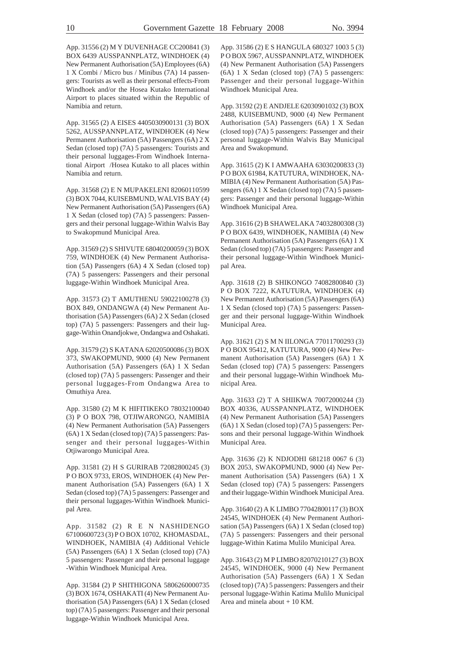App. 31556 (2) M Y DUVENHAGE CC200841 (3) BOX 6439 AUSSPANNPLATZ, WINDHOEK (4) New Permanent Authorisation (5A) Employees (6A) 1 X Combi / Micro bus / Minibus (7A) 14 passengers: Tourists as well as their personal effects-From Windhoek and/or the Hosea Kutako International Airport to places situated within the Republic of Namibia and return.

App. 31565 (2) A EISES 4405030900131 (3) BOX 5262, AUSSPANNPLATZ, WINDHOEK (4) New Permanent Authorisation (5A) Passengers (6A) 2 X Sedan (closed top) (7A) 5 passengers: Tourists and their personal luggages-From Windhoek International Airport /Hosea Kutako to all places within Namibia and return.

App. 31568 (2) E N MUPAKELENI 82060110599 (3) BOX 7044, KUISEBMUND, WALVIS BAY (4) New Permanent Authorisation (5A) Passengers (6A) 1 X Sedan (closed top) (7A) 5 passengers: Passengers and their personal luggage-Within Walvis Bay to Swakopmund Municipal Area.

App. 31569 (2) S SHIVUTE 68040200059 (3) BOX 759, WINDHOEK (4) New Permanent Authorisation (5A) Passengers (6A) 4 X Sedan (closed top) (7A) 5 passengers: Passengers and their personal luggage-Within Windhoek Municipal Area.

App. 31573 (2) T AMUTHENU 59022100278 (3) BOX 849, ONDANGWA (4) New Permanent Authorisation (5A) Passengers (6A) 2 X Sedan (closed top) (7A) 5 passengers: Passengers and their luggage-Within Onandjokwe, Ondangwa and Oshakati.

App. 31579 (2) S KATANA 62020500086 (3) BOX 373, SWAKOPMUND, 9000 (4) New Permanent Authorisation (5A) Passengers (6A) 1 X Sedan (closed top) (7A) 5 passengers: Passenger and their personal luggages-From Ondangwa Area to Omuthiya Area.

App. 31580 (2) M K HIFITIKEKO 78032100040 (3) P O BOX 798, OTJIWARONGO, NAMIBIA (4) New Permanent Authorisation (5A) Passengers (6A) 1 X Sedan (closed top) (7A) 5 passengers: Passenger and their personal luggages-Within Otjiwarongo Municipal Area.

App. 31581 (2) H S GURIRAB 72082800245 (3) P O BOX 9733, EROS, WINDHOEK (4) New Permanent Authorisation (5A) Passengers (6A) 1 X Sedan (closed top) (7A) 5 passengers: Passenger and their personal luggages-Within Windhoek Municipal Area.

App. 31582 (2) R E N NASHIDENGO 67100600723 (3) P O BOX 10702, KHOMASDAL, WINDHOEK, NAMIBIA (4) Additional Vehicle (5A) Passengers (6A) 1 X Sedan (closed top) (7A) 5 passengers: Passenger and their personal luggage -Within Windhoek Municipal Area.

App. 31584 (2) P SHITHIGONA 5806260000735 (3) BOX 1674, OSHAKATI (4) New Permanent Authorisation (5A) Passengers (6A) 1 X Sedan (closed top) (7A) 5 passengers: Passenger and their personal luggage-Within Windhoek Municipal Area.

App. 31586 (2) E S HANGULA 680327 1003 5 (3) P O BOX 5967, AUSSPANNPLATZ, WINDHOEK (4) New Permanent Authorisation (5A) Passengers (6A) 1 X Sedan (closed top) (7A) 5 passengers: Passenger and their personal luggage-Within Windhoek Municipal Area.

App. 31592 (2) E ANDJELE 62030901032 (3) BOX 2488, KUISEBMUND, 9000 (4) New Permanent Authorisation (5A) Passengers (6A) 1 X Sedan (closed top) (7A) 5 passengers: Passenger and their personal luggage-Within Walvis Bay Municipal Area and Swakopmund.

App. 31615 (2) K I AMWAAHA 63030200833 (3) P O BOX 61984, KATUTURA, WINDHOEK, NA-MIBIA (4) New Permanent Authorisation (5A) Passengers (6A) 1 X Sedan (closed top) (7A) 5 passengers: Passenger and their personal luggage-Within Windhoek Municipal Area.

App. 31616 (2) B SHAWELAKA 74032800308 (3) P O BOX 6439, WINDHOEK, NAMIBIA (4) New Permanent Authorisation (5A) Passengers (6A) 1 X Sedan (closed top) (7A) 5 passengers: Passenger and their personal luggage-Within Windhoek Municipal Area.

App. 31618 (2) B SHIKONGO 74082800840 (3) P O BOX 7222, KATUTURA, WINDHOEK (4) New Permanent Authorisation (5A) Passengers (6A) 1 X Sedan (closed top) (7A) 5 passengers: Passenger and their personal luggage-Within Windhoek Municipal Area.

App. 31621 (2) S M N IILONGA 77011700293 (3) P O BOX 95412, KATUTURA, 9000 (4) New Permanent Authorisation (5A) Passengers (6A) 1 X Sedan (closed top) (7A) 5 passengers: Passengers and their personal luggage-Within Windhoek Municipal Area.

App. 31633 (2) T A SHIIKWA 70072000244 (3) BOX 40336, AUSSPANNPLATZ, WINDHOEK (4) New Permanent Authorisation (5A) Passengers (6A) 1 X Sedan (closed top) (7A) 5 passengers: Persons and their personal luggage-Within Windhoek Municipal Area.

App. 31636 (2) K NDJODHI 681218 0067 6 (3) BOX 2053, SWAKOPMUND, 9000 (4) New Permanent Authorisation (5A) Passengers (6A) 1 X Sedan (closed top) (7A) 5 passengers: Passengers and their luggage-Within Windhoek Municipal Area.

App. 31640 (2) A K LIMBO 77042800117 (3) BOX 24545, WINDHOEK (4) New Permanent Authorisation (5A) Passengers (6A) 1 X Sedan (closed top) (7A) 5 passengers: Passengers and their personal luggage-Within Katima Mulilo Municipal Area.

App. 31643 (2) M P LIMBO 82070210127 (3) BOX 24545, WINDHOEK, 9000 (4) New Permanent Authorisation (5A) Passengers (6A) 1 X Sedan (closed top) (7A) 5 passengers: Passengers and their personal luggage-Within Katima Mulilo Municipal Area and minela about + 10 KM.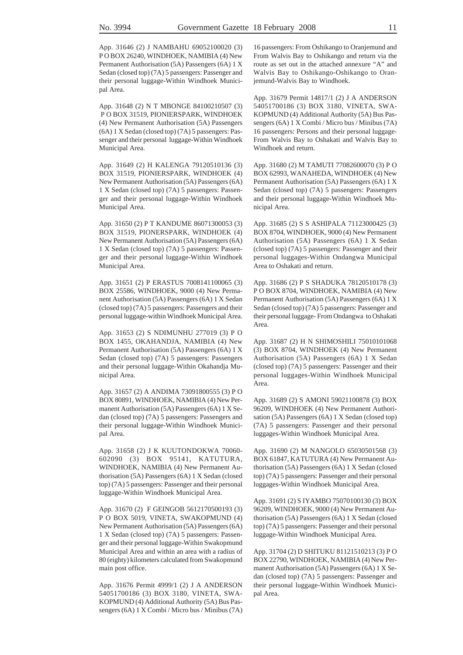App. 31646 (2) J NAMBAHU 69052100020 (3) P O BOX 26240, WINDHOEK, NAMIBIA (4) New Permanent Authorisation (5A) Passengers (6A) 1 X Sedan (closed top) (7A) 5 passengers: Passenger and their personal luggage-Within Windhoek Municipal Area.

App. 31648 (2) N T MBONGE 84100210507 (3) P O BOX 31519, PIONIERSPARK, WINDHOEK (4) New Permanent Authorisation (5A) Passengers (6A) 1 X Sedan (closed top) (7A) 5 passengers: Passenger and their personal luggage-Within Windhoek Municipal Area.

App. 31649 (2) H KALENGA 79120510136 (3) BOX 31519, PIONIERSPARK, WINDHOEK (4) New Permanent Authorisation (5A) Passengers (6A) 1 X Sedan (closed top) (7A) 5 passengers: Passenger and their personal luggage-Within Windhoek Municipal Area.

App. 31650 (2) P T KANDUME 86071300053 (3) BOX 31519, PIONERSPARK, WINDHOEK (4) New Permanent Authorisation (5A) Passengers (6A) 1 X Sedan (closed top) (7A) 5 passengers: Passenger and their personal luggage-Within Windhoek Municipal Area.

App. 31651 (2) P ERASTUS 7008141100065 (3) BOX 25586, WINDHOEK, 9000 (4) New Permanent Authorisation (5A) Passengers (6A) 1 X Sedan (closed top) (7A) 5 passengers: Passengers and their personal luggage-within Windhoek Municipal Area.

App. 31653 (2) S NDIMUNHU 277019 (3) P O BOX 1455, OKAHANDJA, NAMIBIA (4) New Permanent Authorisation (5A) Passengers (6A) 1 X Sedan (closed top) (7A) 5 passengers: Passengers and their personal luggage-Within Okahandja Municipal Area.

App. 31657 (2) A ANDIMA 73091800555 (3) P O BOX 80891, WINDHOEK, NAMIBIA (4) New Permanent Authorisation (5A) Passengers (6A) 1 X Sedan (closed top) (7A) 5 passengers: Passengers and their personal luggage-Within Windhoek Municipal Area.

App. 31658 (2) J K KUUTONDOKWA 70060- 602090 (3) BOX 95141, KATUTURA, WINDHOEK, NAMIBIA (4) New Permanent Authorisation (5A) Passengers (6A) 1 X Sedan (closed top) (7A) 5 passengers: Passenger and their personal luggage-Within Windhoek Municipal Area.

App. 31670 (2) F GEINGOB 5612170500193 (3) P O BOX 5019, VINETA, SWAKOPMUND (4) New Permanent Authorisation (5A) Passengers (6A) 1 X Sedan (closed top) (7A) 5 passengers: Passenger and their personal luggage-Within Swakopmund Municipal Area and within an area with a radius of 80 (eighty) kilometers calculated from Swakopmund main post office.

App. 31676 Permit 4999/1 (2) J A ANDERSON 54051700186 (3) BOX 3180, VINETA, SWA-KOPMUND (4) Additional Authority (5A) Bus Passengers (6A) 1 X Combi / Micro bus / Minibus (7A)

16 passengers: From Oshikango to Oranjemund and From Walvis Bay to Oshikango and return via the route as set out in the attached annexure "A" and Walvis Bay to Oshikango-Oshikango to Oranjemund-Walvis Bay to Windhoek.

App. 31679 Permit 14817/1 (2) J A ANDERSON 54051700186 (3) BOX 3180, VINETA, SWA-KOPMUND (4) Additional Authority (5A) Bus Passengers (6A) 1 X Combi / Micro bus / Minibus (7A) 16 passengers: Persons and their personal luggage-From Walvis Bay to Oshakati and Walvis Bay to Windhoek and return.

App. 31680 (2) M TAMUTI 77082600070 (3) P O BOX 62993, WANAHEDA, WINDHOEK (4) New Permanent Authorisation (5A) Passengers (6A) 1 X Sedan (closed top) (7A) 5 passengers: Passengers and their personal luggage-Within Windhoek Municipal Area.

App. 31685 (2) S S ASHIPALA 71123000425 (3) BOX 8704, WINDHOEK, 9000 (4) New Permanent Authorisation (5A) Passengers (6A) 1 X Sedan (closed top) (7A) 5 passengers: Passenger and their personal luggages-Within Ondangwa Municipal Area to Oshakati and return.

App. 31686 (2) P S SHADUKA 78120510178 (3) P O BOX 8704, WINDHOEK, NAMIBIA (4) New Permanent Authorisation (5A) Passengers (6A) 1 X Sedan (closed top) (7A) 5 passengers: Passenger and their personal luggage- From Ondangwa to Oshakati Area.

App. 31687 (2) H N SHIMOSHILI 75010101068 (3) BOX 8704, WINDHOEK (4) New Permanent Authorisation (5A) Passengers (6A) 1 X Sedan (closed top) (7A) 5 passengers: Passenger and their personal luggages-Within Windhoek Municipal Area.

App. 31689 (2) S AMONI 59021100878 (3) BOX 96209, WINDHOEK (4) New Permanent Authorisation (5A) Passengers (6A) 1 X Sedan (closed top) (7A) 5 passengers: Passenger and their personal luggages-Within Windhoek Municipal Area.

App. 31690 (2) M NANGOLO 65030501568 (3) BOX 61847, KATUTURA (4) New Permanent Authorisation (5A) Passengers (6A) 1 X Sedan (closed top) (7A) 5 passengers: Passenger and their personal luggages-Within Windhoek Municipal Area.

App. 31691 (2) S IYAMBO 75070100130 (3) BOX 96209, WINDHOEK, 9000 (4) New Permanent Authorisation (5A) Passengers (6A) 1 X Sedan (closed top) (7A) 5 passengers: Passenger and their personal luggage-Within Windhoek Municipal Area.

App. 31704 (2) D SHITUKU 81121510213 (3) P O BOX 22790, WINDHOEK, NAMIBIA (4) New Permanent Authorisation (5A) Passengers (6A) 1 X Sedan (closed top) (7A) 5 passengers: Passenger and their personal luggage-Within Windhoek Municipal Area.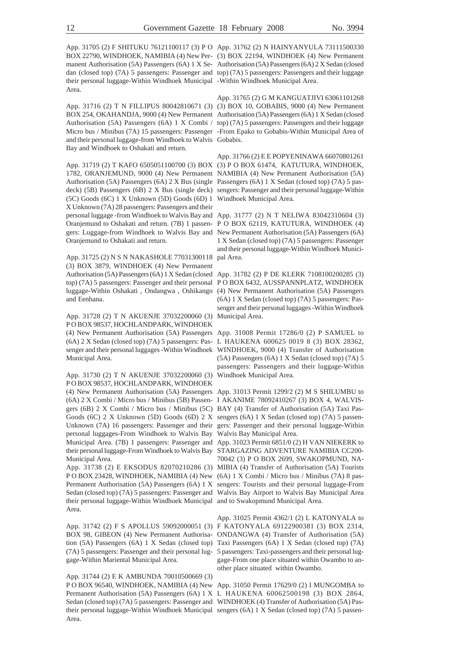BOX 22790, WINDHOEK, NAMIBIA (4) New Per-(3) BOX 22194, WINDHOEK (4) New Permanent manent Authorisation (5A) Passengers (6A) 1 X Se-Authorisation (5A) Passengers (6A) 2 X Sedan (closed dan (closed top) (7A) 5 passengers: Passenger and top) (7A) 5 passengers: Passengers and their luggage their personal luggage-Within Windhoek Municipal -Within Windhoek Municipal Area. Area.

App. 31716 (2) T N FILLIPUS 80042810671 (3) (3) BOX 10, GOBABIS, 9000 (4) New Permanent BOX 254, OKAHANDJA, 9000 (4) New Permanent Authorisation (5A) Passengers (6A) 1 X Sedan (closed Authorisation (5A) Passengers (6A) 1 X Combi / top) (7A) 5 passengers: Passengers and their luggage Micro bus / Minibus (7A) 15 passengers: Passenger -From Epako to Gobabis-Within Municipal Area of and their personal luggage-from Windhoek to Walvis Gobabis. Bay and Windhoek to Oshakati and return.

App. 31719 (2) T KAFO 6505051100700 (3) BOX (3) P O BOX 61474, KATUTURA, WINDHOEK, 1782, ORANJEMUND, 9000 (4) New Permanent NAMIBIA (4) New Permanent Authorisation (5A) Authorisation (5A) Passengers (6A) 2 X Bus (single Passengers (6A) 1 X Sedan (closed top) (7A) 5 pasdeck) (5B) Passengers (6B) 2 X Bus (single deck) sengers: Passenger and their personal luggage-Within (5C) Goods (6C) 1 X Unknown (5D) Goods (6D) 1 Windhoek Municipal Area. X Unknown (7A) 28 passengers: Passengers and their personal luggage -from Windhoek to Walvis Bay and App. 31777 (2) N T NELIWA 83042310604 (3) Oranjemund to Oshakati and return. (7B) 1 passen-P O BOX 62119, KATUTURA, WINDHOEK (4) gers: Luggage-from Windhoek to Walvis Bay and New Permanent Authorisation (5A) Passengers (6A) Oranjemund to Oshakati and return.

App. 31725 (2) N S N NAKASHOLE 77031300118 pal Area. (3) BOX 3879, WINDHOEK (4) New Permanent Authorisation (5A) Passengers (6A) 1 X Sedan (closed App. 31782 (2) P DE KLERK 7108100200285 (3) top) (7A) 5 passengers: Passenger and their personal P O BOX 6432, AUSSPANNPLATZ, WINDHOEK luggage-Within Oshakati , Ondangwa , Oshikango (4) New Permanent Authorisation (5A) Passengers and Eenhana.

App. 31728 (2) T N AKUENJE 37032200060 (3) Municipal Area. P O BOX 98537, HOCHLANDPARK, WINDHOEK (4) New Permanent Authorisation (5A) Passengers App. 31008 Permit 17286/0 (2) P SAMUEL to (6A) 2 X Sedan (closed top) (7A) 5 passengers: Pas-L HAUKENA 600625 0019 8 (3) BOX 28362, senger and their personal luggages -Within Windhoek WINDHOEK, 9000 (4) Transfer of Authorisation Municipal Area.

App. 31730 (2) T N AKUENJE 37032200060 (3) P O BOX 98537, HOCHLANDPARK, WINDHOEK (4) New Permanent Authorisation (5A) Passengers App. 31013 Permit 1299/2 (2) M S SHILUMBU to (6A) 2 X Combi / Micro bus / Minibus (5B) Passen-I AKANIME 78092410267 (3) BOX 4, WALVISgers (6B) 2 X Combi / Micro bus / Minibus (5C) BAY (4) Transfer of Authorisation (5A) Taxi Pas-Goods (6C) 2 X Unknown (5D) Goods (6D) 2 X sengers (6A) 1 X Sedan (closed top) (7A) 5 passen-Unknown (7A) 16 passengers: Passenger and their gers: Passenger and their personal luggage-Within personal luggages-From Windhoek to Walvis Bay Walvis Bay Municipal Area. Municipal Area. (7B) 1 passengers: Passenger and App. 31023 Permit 6851/0 (2) H VAN NIEKERK to their personal luggage-From Windhoek to Walvis Bay STARGAZING ADVENTURE NAMIBIA CC200- Municipal Area.

App. 31738 (2) E EKSODUS 82070210286 (3) MIBIA (4) Transfer of Authorisation (5A) Tourists P O BOX 23428, WINDHOEK, NAMIBIA (4) New (6A) 1 X Combi / Micro bus / Minibus (7A) 8 pas-Permanent Authorisation (5A) Passengers (6A) 1 X sengers: Tourists and their personal luggage-From Sedan (closed top) (7A) 5 passengers: Passenger and Walvis Bay Airport to Walvis Bay Municipal Area their personal luggage-Within Windhoek Municipal and to Swakopmund Municipal Area. Area.

App. 31742 (2) F S APOLLUS 59092000051 (3) F KATONYALA 69122900381 (3) BOX 2314, BOX 98, GIBEON (4) New Permanent Authorisa-ONDANGWA (4) Transfer of Authorisation (5A) tion (5A) Passengers (6A) 1 X Sedan (closed top) Taxi Passengers (6A) 1 X Sedan (closed top) (7A) (7A) 5 passengers: Passenger and their personal lug-5 passengers: Taxi-passengers and their personal luggage-Within Mariental Municipal Area.

App. 31744 (2) E K AMBUNDA 70010500669 (3) P O BOX 96540, WINDHOEK, NAMIBIA (4) New App. 31050 Permit 17629/0 (2) I MUNGOMBA to Permanent Authorisation (5A) Passengers (6A) 1 X L HAUKENA 60062500198 (3) BOX 2864, Sedan (closed top) (7A) 5 passengers: Passenger and WINDHOEK (4) Transfer of Authorisation (5A) Pastheir personal luggage-Within Windhoek Municipal sengers (6A) 1 X Sedan (closed top) (7A) 5 passen-Area.

App. 31705 (2) F SHITUKU 76121100117 (3) P O App. 31762 (2) N HAINYANYULA 73111500330

App. 31765 (2) G M KANGUATJIVI 63061101268

App. 31766 (2) E E POPYENINAWA 66070801261

1 X Sedan (closed top) (7A) 5 passengers: Passenger and their personal luggage-Within Windhoek Munici-

(6A) 1 X Sedan (closed top) (7A) 5 passengers: Passenger and their personal luggages -Within Windhoek

(5A) Passengers (6A) 1 X Sedan (closed top) (7A) 5 passengers: Passengers and their luggage-Within Windhoek Municipal Area.

70042 (3) P O BOX 2699, SWAKOPMUND, NA-

App. 31025 Permit 4362/1 (2) L KATONYALA to gage-From one place situated within Owambo to another place situated within Owambo.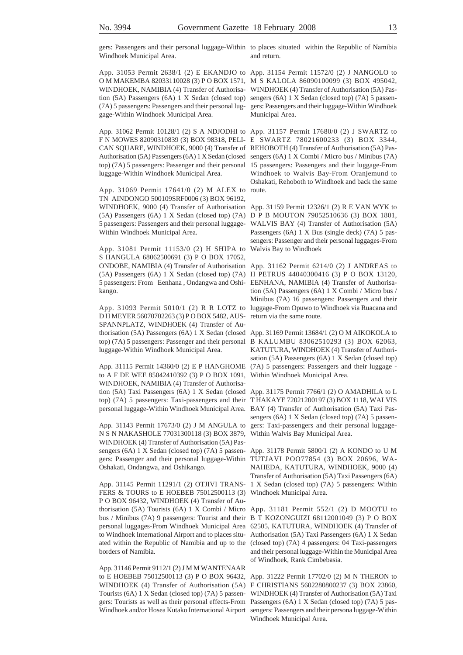Windhoek Municipal Area.

App. 31053 Permit 2638/1 (2) E EKANDJO to App. 31154 Permit 11572/0 (2) J NANGOLO to O M MAKEMBA 82033110028 (3) P O BOX 1571, M S KALOLA 86090100099 (3) BOX 495042, WINDHOEK, NAMIBIA (4) Transfer of Authorisa-WINDHOEK (4) Transfer of Authorisation (5A) Pastion (5A) Passengers (6A) 1 X Sedan (closed top) sengers (6A) 1 X Sedan (closed top) (7A) 5 passen-(7A) 5 passengers: Passengers and their personal lug-gers: Passengers and their luggage-Within Windhoek gage-Within Windhoek Municipal Area.

App. 31062 Permit 10128/1 (2) S A NDJODHI to App. 31157 Permit 17680/0 (2) J SWARTZ to luggage-Within Windhoek Municipal Area.

App. 31069 Permit 17641/0 (2) M ALEX to route. TN AINDONGO 500109SRF0006 (3) BOX 96192, WINDHOEK, 9000 (4) Transfer of Authorisation App. 31159 Permit 12326/1 (2) R E VAN WYK to (5A) Passengers (6A) 1 X Sedan (closed top) (7A) D P B MOUTON 79052510636 (3) BOX 1801, 5 passengers: Passengers and their personal luggage-WALVIS BAY (4) Transfer of Authorisation (5A) Within Windhoek Municipal Area.

App. 31081 Permit 11153/0 (2) H SHIPA to Walvis Bay to Windhoek S HANGULA 68062500691 (3) P O BOX 17052, ONDOBE, NAMIBIA (4) Transfer of Authorisation App. 31162 Permit 6214/0 (2) J ANDREAS to (5A) Passengers (6A) 1 X Sedan (closed top) (7A) H PETRUS 44040300416 (3) P O BOX 13120, 5 passengers: From Eenhana , Ondangwa and Oshi-EENHANA, NAMIBIA (4) Transfer of Authorisakango.

D H MEYER 56070702263 (3) P O BOX 5482, AUS-SPANNPLATZ, WINDHOEK (4) Transfer of Authorisation (5A) Passengers (6A) 1 X Sedan (closed App. 31169 Permit 13684/1 (2) O M AIKOKOLA to luggage-Within Windhoek Municipal Area.

to A F DE WEE 85042410392 (3) P O BOX 1091, Within Windhoek Municipal Area. WINDHOEK, NAMIBIA (4) Transfer of Authorisation (5A) Taxi Passengers (6A) 1 X Sedan (closed App. 31175 Permit 7766/1 (2) O AMADHILA to L top) (7A) 5 passengers: Taxi-passengers and their T HAKAYE 72021200197 (3) BOX 1118, WALVIS personal luggage-Within Windhoek Municipal Area. BAY (4) Transfer of Authorisation (5A) Taxi Pas-

N S N NAKASHOLE 77031300118 (3) BOX 3879, Within Walvis Bay Municipal Area. WINDHOEK (4) Transfer of Authorisation (5A) Passengers (6A) 1 X Sedan (closed top) (7A) 5 passen- App. 31178 Permit 5800/1 (2) A KONDO to U M gers: Passenger and their personal luggage-Within TUTJAVI POO77854 (3) BOX 20696, WA-Oshakati, Ondangwa, and Oshikango.

App. 31145 Permit 11291/1 (2) OTJIVI TRANS-FERS & TOURS to E HOEBEB 75012500113 (3) P O BOX 96432, WINDHOEK (4) Transfer of Authorisation (5A) Tourists (6A) 1 X Combi / Micro App. 31181 Permit 552/1 (2) D MOOTU to bus / Minibus (7A) 9 passengers: Tourist and their B T KOZONGUIZI 68112001049 (3) P O BOX personal luggages-From Windhoek Municipal Area 62505, KATUTURA, WINDHOEK (4) Transfer of to Windhoek International Airport and to places situ-Authorisation (5A) Taxi Passengers (6A) 1 X Sedan ated within the Republic of Namibia and up to the (closed top) (7A) 4 passengers: 04 Taxi-passengers borders of Namibia.

App. 31146 Permit 9112/1 (2) J M M WANTENAAR to E HOEBEB 75012500113 (3) P O BOX 96432, App. 31222 Permit 17702/0 (2) M N THERON to WINDHOEK (4) Transfer of Authorisation (5A) F CHRISTIANS 5602280800237 (3) BOX 23860, Tourists (6A) 1 X Sedan (closed top) (7A) 5 passen-WINDHOEK (4) Transfer of Authorisation (5A) Taxi gers: Tourists as well as their personal effects-From Passengers (6A) 1 X Sedan (closed top) (7A) 5 pas-Windhoek and/or Hosea Kutako International Airport sengers: Passengers and their persona luggage-Within

gers: Passengers and their personal luggage-Within to places situated within the Republic of Namibia and return.

Municipal Area.

F N MOWES 82090310839 (3) BOX 98318, PELI-E SWARTZ 78021600233 (3) BOX 3344, CAN SQUARE, WINDHOEK, 9000 (4) Transfer of REHOBOTH (4) Transfer of Authorisation (5A) Pas-Authorisation (5A) Passengers (6A) 1 X Sedan (closed sengers (6A) 1 X Combi / Micro bus / Minibus (7A) top) (7A) 5 passengers: Passenger and their personal 15 passengers: Passengers and their luggage-From Windhoek to Walvis Bay-From Oranjemund to Oshakati, Rehoboth to Windhoek and back the same

> Passengers (6A) 1 X Bus (single deck) (7A) 5 passengers: Passenger and their personal luggages-From

App. 31093 Permit 5010/1 (2) R R LOTZ to luggage-From Opuwo to Windhoek via Ruacana and tion (5A) Passengers (6A) 1 X Combi / Micro bus / Minibus (7A) 16 passengers: Passengers and their return via the same route.

top) (7A) 5 passengers: Passenger and their personal B KALUMBU 83062510293 (3) BOX 62063, App. 31115 Permit 14360/0 (2) E P HANGHOME (7A) 5 passengers: Passengers and their luggage - KATUTURA, WINDHOEK (4) Transfer of Authorisation (5A) Passengers (6A) 1 X Sedan (closed top)

App. 31143 Permit 17673/0 (2) J M ANGULA to gers: Taxi-passengers and their personal luggagesengers (6A) 1 X Sedan (closed top) (7A) 5 passen-

> NAHEDA, KATUTURA, WINDHOEK, 9000 (4) Transfer of Authorisation (5A) Taxi Passengers (6A) 1 X Sedan (closed top) (7A) 5 passengers: Within Windhoek Municipal Area.

> and their personal luggage-Within the Municipal Area of Windhoek, Rank Cimbebasia.

> Windhoek Municipal Area.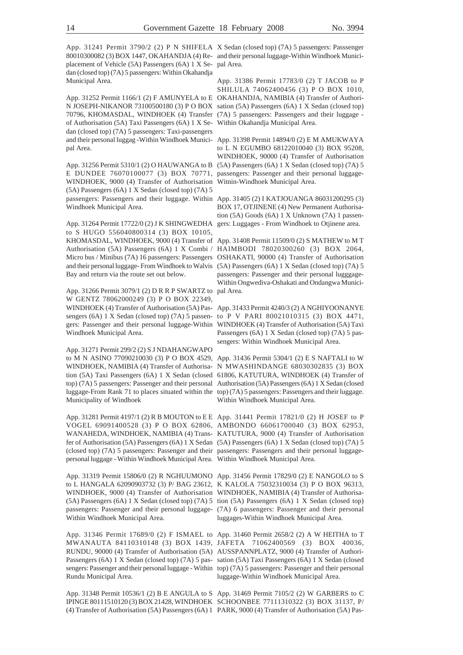80010300082 (3) BOX 1447, OKAHANDJA (4) Re-and their personal luggage-Within Windhoek Municiplacement of Vehicle (5A) Passengers (6A) 1 X Se-pal Area. dan (closed top) (7A) 5 passengers: Within Okahandja Municipal Area.

App. 31252 Permit 1166/1 (2) F AMUNYELA to E OKAHANDJA, NAMIBIA (4) Transfer of Authori-N JOSEPH-NIKANOR 73100500180 (3) P O BOX sation (5A) Passengers (6A) 1 X Sedan (closed top) 70796, KHOMASDAL, WINDHOEK (4) Transfer (7A) 5 passengers: Passengers and their luggage of Authorisation (5A) Taxi Passengers (6A) 1 X Se-Within Okahandja Municipal Area. dan (closed top) (7A) 5 passengers: Taxi-passengers and their personal luggag -Within Windhoek Munici-App. 31398 Permit 14894/0 (2) E M AMUKWAYA pal Area.

E DUNDEE 76070100077 (3) BOX 70771, passengers: Passenger and their personal luggage-WINDHOEK, 9000 (4) Transfer of Authorisation (5A) Passengers (6A) 1 X Sedan (closed top) (7A) 5 passengers: Passengers and their luggage. Within App. 31405 (2) I KATJOUANGA 86031200295 (3) Windhoek Municipal Area.

App. 31264 Permit 17722/0 (2) J K SHINGWEDHA gers: Luggages - From Windhoek to Otjinene area. to S HUGO 556040800314 (3) BOX 10105, KHOMASDAL, WINDHOEK, 9000 (4) Transfer of App. 31408 Permit 11509/0 (2) S MATHEW to M T Authorisation (5A) Passengers (6A) 1 X Combi / Micro bus / Minibus (7A) 16 passengers: Passengers OSHAKATI, 90000 (4) Transfer of Authorisation and their personal luggage- From Windhoek to Walvis (5A) Passengers (6A) 1 X Sedan (closed top) (7A) 5 Bay and return via the route set out below.

App. 31266 Permit 3079/1 (2) D R R P SWARTZ to pal Area. W GENTZ 78062000249 (3) P O BOX 22349, WINDHOEK (4) Transfer of Authorisation (5A) Pas-App. 31433 Permit 4240/3 (2) A NGHIYOONANYE sengers (6A) 1 X Sedan (closed top) (7A) 5 passen-to P V PARI 80021010315 (3) BOX 4471, gers: Passenger and their personal luggage-Within WINDHOEK (4) Transfer of Authorisation (5A) Taxi Windhoek Municipal Area.

App. 31271 Permit 299/2 (2) S J NDAHANGWAPO to M N ASINO 77090210030 (3) P O BOX 4529, App. 31436 Permit 5304/1 (2) E S NAFTALI to W WINDHOEK, NAMIBIA (4) Transfer of Authorisa-N MWASHINDANGE 68030302835 (3) BOX tion (5A) Taxi Passengers (6A) 1 X Sedan (closed 61806, KATUTURA, WINDHOEK (4) Transfer of top) (7A) 5 passengers: Passenger and their personal Authorisation (5A) Passengers (6A) 1 X Sedan (closed luggage-From Rank 71 to places situated within the top) (7A) 5 passengers: Passengers and their luggage. Municipality of Windhoek

App. 31281 Permit 4197/1 (2) R B MOUTON to E E App. 31441 Permit 17821/0 (2) H JOSEF to P VOGEL 69091400528 (3) P O BOX 62806, AMBONDO 66061700040 (3) BOX 62953, WANAHEDA, WINDHOEK, NAMIBIA (4) Trans-KATUTURA, 9000 (4) Transfer of Authorisation fer of Authorisation (5A) Passengers (6A) 1 X Sedan (5A) Passengers (6A) 1 X Sedan (closed top) (7A) 5 (closed top) (7A) 5 passengers: Passenger and their passengers: Passengers and their personal luggagepersonal luggage - Within Windhoek Municipal Area. Within Windhoek Municipal Area.

App. 31319 Permit 15806/0 (2) R NGHUUMONO App. 31456 Permit 17829/0 (2) E NANGOLO to S to L HANGALA 62090903732 (3) P/ BAG 23612, K KALOLA 75032310034 (3) P O BOX 96313, WINDHOEK, 9000 (4) Transfer of Authorisation WINDHOEK, NAMIBIA (4) Transfer of Authorisa-(5A) Passengers (6A) 1 X Sedan (closed top) (7A) 5 tion (5A) Passengers (6A) 1 X Sedan (closed top) passengers: Passenger and their personal luggage-(7A) 6 passengers: Passenger and their personal Within Windhoek Municipal Area.

App. 31346 Permit 17689/0 (2) F ISMAEL to App. 31460 Permit 2658/2 (2) A W HEITHA to T MWANAUTA 84110310148 (3) BOX 1439, JAFETA 71062400569 (3) BOX 40036, RUNDU, 90000 (4) Transfer of Authorisation (5A) AUSSPANNPLATZ, 9000 (4) Transfer of Authori-Passengers (6A) 1 X Sedan (closed top) (7A) 5 pas-sation (5A) Taxi Passengers (6A) 1 X Sedan (closed sengers: Passenger and their personal luggage - Within top) (7A) 5 passengers: Passenger and their personal Rundu Municipal Area.

App. 31348 Permit 10536/1 (2) B E ANGULA to S App. 31469 Permit 7105/2 (2) W GARBERS to C IPINGE 80111510120 (3) BOX 21428, WINDHOEK SCHOONBEE 77111310322 (3) BOX 31137, P/ (4) Transfer of Authorisation (5A) Passengers (6A) 1 PARK, 9000 (4) Transfer of Authorisation (5A) Pas-

App. 31241 Permit 3790/2 (2) P N SHIFELA X Sedan (closed top) (7A) 5 passengers: Passsenger

App. 31386 Permit 17783/0 (2) T JACOB to P SHILULA 74062400456 (3) P O BOX 1010,

App. 31256 Permit 5310/1 (2) O HAUWANGA to B (5A) Passengers (6A) 1 X Sedan (closed top) (7A) 5 to L N EGUMBO 68122010040 (3) BOX 95208, WINDHOEK, 90000 (4) Transfer of Authorisation Witnin-Windhoek Municipal Area.

> BOX 17, OTJINENE (4) New Permanent Authorisation (5A) Goods (6A) 1 X Unknown (7A) 1 passen-

> HAIMBODI 78020300260 (3) BOX 2064, passengers: Passenger and their personal lugggage-Within Ongwediva-Oshakati and Ondangwa Munici-

> Passengers (6A) 1 X Sedan (closed top) (7A) 5 passengers: Within Windhoek Municipal Area.

> Within Windhoek Municipal Area.

luggages-Within Windhoek Municipal Area.

luggage-Within Windhoek Municipal Area.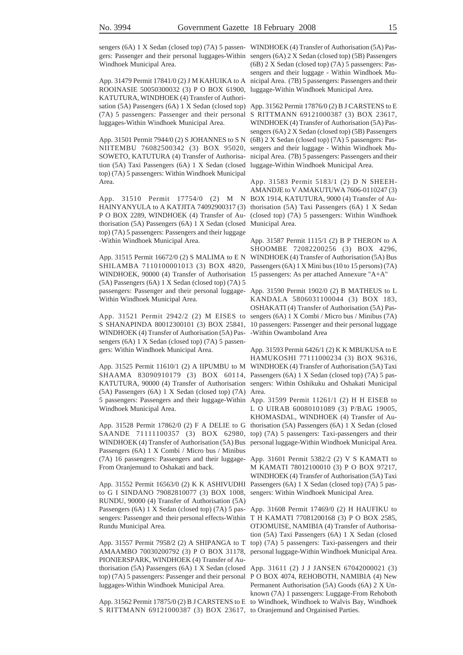sengers (6A) 1 X Sedan (closed top) (7A) 5 passen- WINDHOEK (4) Transfer of Authorisation (5A) Pasgers: Passenger and their personal luggages-Within sengers (6A) 2 X Sedan (closed top) (5B) Passengers Windhoek Municipal Area.

ROOINASIE 50050300032 (3) P O BOX 61900, luggage-Within Windhoek Municipal Area. KATUTURA, WINDHOEK (4) Transfer of Authorisation (5A) Passengers (6A) 1 X Sedan (closed top) App. 31562 Permit 17876/0 (2) B J CARSTENS to E (7A) 5 passengers: Passenger and their personal S RITTMANN 69121000387 (3) BOX 23617, luggages-Within Windhoek Municipal Area.

App. 31501 Permit 7944/0 (2) S JOHANNES to S N NIITEMBU 76082500342 (3) BOX 95020, SOWETO, KATUTURA (4) Transfer of Authorisation (5A) Taxi Passengers (6A) 1 X Sedan (closed luggage-Within Windhoek Municipal Area. top) (7A) 5 passengers: Within Windhoek Municipal Area.

App. 31510 Permit 17754/0 (2) M N BOX 1914, KATUTURA, 9000 (4) Transfer of Au-HAINYANYULA to A KATJITA 74092900317 (3) thorisation (5A) Taxi Passengers (6A) 1 X Sedan P O BOX 2289, WINDHOEK (4) Transfer of Authorisation (5A) Passengers (6A) 1 X Sedan (closed Municipal Area. top) (7A) 5 passengers: Passengers and their luggage -Within Windhoek Municipal Area.

WINDHOEK, 90000 (4) Transfer of Authorisation (5A) Passengers (6A) 1 X Sedan (closed top) (7A) 5 passengers: Passenger and their personal luggage-App. 31590 Permit 1902/0 (2) B MATHEUS to L Within Windhoek Municipal Area.

S SHANAPINDA 80012300101 (3) BOX 25841, 10 passengers: Passenger and their personal luggage WINDHOEK (4) Transfer of Authorisation (5A) Pas--Within Owamboland Area sengers (6A) 1 X Sedan (closed top) (7A) 5 passengers: Within Windhoek Municipal Area.

(5A) Passengers (6A) 1 X Sedan (closed top) (7A) Area. 5 passengers: Passengers and their luggage-Within App. 31599 Permit 11261/1 (2) H H EISEB to Windhoek Municipal Area.

SAANDE 71111100357 (3) BOX 62980, top) (7A) 5 passengers: Taxi-passengers and their WINDHOEK (4) Transfer of Authorisation (5A) Bus personal luggage-Within Windhoek Municipal Area. Passengers (6A) 1 X Combi / Micro bus / Minibus (7A) 16 passengers: Passengers and their luggage-App. 31601 Permit 5382/2 (2) V S KAMATI to From Oranjemund to Oshakati and back.

to G I SINDANO 79082810077 (3) BOX 1008, RUNDU, 90000 (4) Transfer of Authorisation (5A) Passengers (6A) 1 X Sedan (closed top) (7A) 5 pas- App. 31608 Permit 17469/0 (2) H HAUFIKU to sengers: Passenger and their personal effects-Within T H KAMATI 77081200168 (3) P O BOX 2585, Rundu Municipal Area.

AMAAMBO 70030200792 (3) P O BOX 31178, personal luggage-Within Windhoek Municipal Area. PIONIERSPARK, WINDHOEK (4) Transfer of Authorisation (5A) Passengers (6A) 1 X Sedan (closed App. 31611 (2) J J JANSEN 67042000021 (3) top) (7A) 5 passengers: Passenger and their personal P O BOX 4074, REHOBOTH, NAMIBIA (4) New luggages-Within Windhoek Municipal Area.

S RITTMANN 69121000387 (3) BOX 23617, to Oranjemund and Orgainised Parties.

App. 31479 Permit 17841/0 (2) J M KAHUIKA to A nicipal Area. (7B) 5 passengers: Passengers and their (6B) 2 X Sedan (closed top) (7A) 5 passengers: Passengers and their luggage - Within Windhoek Mu-

> WINDHOEK (4) Transfer of Authorisation (5A) Passengers (6A) 2 X Sedan (closed top) (5B) Passengers (6B) 2 X Sedan (closed top) (7A) 5 passengers: Passengers and their luggage - Within Windhoek Municipal Area. (7B) 5 passengers: Passengers and their

> App. 31583 Permit 5183/1 (2) D N SHEEH-AMANDJE to V AMAKUTUWA 7606-0110247 (3) (closed top) (7A) 5 passengers: Within Windhoek

App. 31515 Permit 16672/0 (2) S MALIMA to E N WINDHOEK (4) Transfer of Authorisation (5A) Bus SHILAMBA 7110100001013 (3) BOX 4820, Passengers (6A) 1 X Mini bus (10 to 15 persons) (7A) App. 31587 Permit 1115/1 (2) B P THERON to A SHOOMBE 72082200256 (3) BOX 4296, 15 passengers: As per attached Annexure "A+A"

App. 31521 Permit 2942/2 (2) M EISES to sengers (6A) 1 X Combi / Micro bus / Minibus (7A) KANDALA 5806031100044 (3) BOX 183, OSHAKATI (4) Transfer of Authorisation (5A) Pas-

App. 31525 Permit 11610/1 (2) A IIPUMBU to M WINDHOEK (4) Transfer of Authorisation (5A) Taxi SHAAMA 83090910179 (3) BOX 60114, Passengers (6A) 1 X Sedan (closed top) (7A) 5 pas-KATUTURA, 90000 (4) Transfer of Authorisation sengers: Within Oshikuku and Oshakati Municipal App. 31593 Permit 6426/1 (2) K K MBUKUSA to E HAMUKOSHI 77111000234 (3) BOX 96316,

App. 31528 Permit 17862/0 (2) F A DELIE to G thorisation (5A) Passengers (6A) 1 X Sedan (closed L O UIRAB 60080101089 (3) P/BAG 19005, KHOMASDAL, WINDHOEK (4) Transfer of Au-

App. 31552 Permit 16563/0 (2) K K ASHIVUDHI Passengers (6A) 1 X Sedan (closed top) (7A) 5 pas-M KAMATI 78012100010 (3) P O BOX 97217, WINDHOEK (4) Transfer of Authorisation (5A) Taxi sengers: Within Windhoek Municipal Area.

App. 31557 Permit 7958/2 (2) A SHIPANGA to T top) (7A) 5 passengers: Taxi-passengers and their OTJOMUISE, NAMIBIA (4) Transfer of Authorisation (5A) Taxi Passengers (6A) 1 X Sedan (closed

App. 31562 Permit 17875/0 (2) B J CARSTENS to E to Windhoek, Windhoek to Walvis Bay, Windhoek Permanent Authorisation (5A) Goods (6A) 2 X Unknown (7A) 1 passengers: Luggage-From Rehoboth